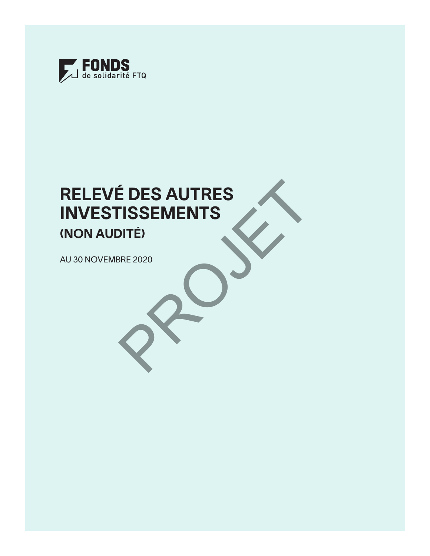

# RELEVÉ DES AUTRES INVESTISSEMENTS (NON AUDITÉ) AU 30 NOVEMBRE 2020 E DES AUTRES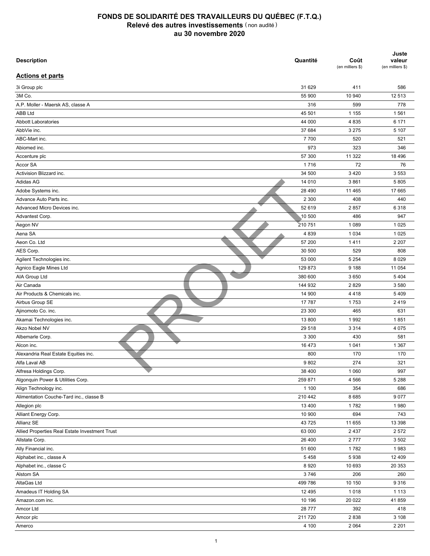| <b>Description</b>                             | Quantité | Coût<br>(en milliers \$) | Juste<br>valeur<br>(en milliers \$) |
|------------------------------------------------|----------|--------------------------|-------------------------------------|
| <b>Actions et parts</b>                        |          |                          |                                     |
| 3i Group plc                                   | 31 629   | 411                      | 586                                 |
| 3M Co.                                         | 55 900   | 10 940                   | 12 513                              |
| A.P. Moller - Maersk AS, classe A              | 316      | 599                      | 778                                 |
| <b>ABB Ltd</b>                                 | 45 501   | 1 1 5 5                  | 1561                                |
| <b>Abbott Laboratories</b>                     | 44 000   | 4 8 3 5                  | 6 171                               |
| AbbVie inc.                                    | 37 684   | 3 2 7 5                  | 5 107                               |
| ABC-Mart inc.                                  | 7700     | 520                      | 521                                 |
| Abiomed inc.                                   | 973      | 323                      | 346                                 |
| Accenture plc                                  | 57 300   | 11 322                   | 18 4 96                             |
| Accor SA                                       | 1716     | 72                       | 76                                  |
| Activision Blizzard inc.                       | 34 500   | 3 4 2 0                  | 3 5 5 3                             |
| Adidas AG                                      | 14 010   | 3861                     | 5805                                |
| Adobe Systems inc.                             | 28 4 9 0 | 11 4 65                  | 17 665                              |
| Advance Auto Parts inc.                        | 2 3 0 0  | 408                      | 440                                 |
| Advanced Micro Devices inc.                    | 52 619   | 2857                     | 6318                                |
| Advantest Corp.                                | 10 500   | 486                      | 947                                 |
| Aegon NV                                       |          | 1 0 8 9                  | 1 0 2 5                             |
|                                                | 210751   |                          |                                     |
| Aena SA                                        | 4839     | 1 0 3 4                  | 1 0 2 5                             |
| Aeon Co. Ltd                                   | 57 200   | 1411                     | 2 2 0 7                             |
| AES Corp.                                      | 30 500   | 529                      | 808                                 |
| Agilent Technologies inc.                      | 53 000   | 5 2 5 4                  | 8 0 2 9                             |
| Agnico Eagle Mines Ltd                         | 129 873  | 9 1 8 8                  | 11 054                              |
| AIA Group Ltd                                  | 380 600  | 3 6 5 0                  | 5 4 0 4                             |
| Air Canada                                     | 144 932  | 2829                     | 3580                                |
| Air Products & Chemicals inc.                  | 14 900   | 4418                     | 5409                                |
| Airbus Group SE                                | 17 787   | 1753                     | 2419                                |
| Ajinomoto Co. inc.                             | 23 300   | 465                      | 631                                 |
| Akamai Technologies inc.                       | 13 800   | 1992                     | 1851                                |
| Akzo Nobel NV                                  | 29 518   | 3 3 1 4                  | 4 0 7 5                             |
| Albemarle Corp.                                | 3 3 0 0  | 430                      | 581                                 |
| Alcon inc.                                     | 16 473   | 1 0 4 1                  | 1 3 6 7                             |
| Alexandria Real Estate Equities inc.           | 800      | 170                      | 170                                 |
| Alfa Laval AB                                  | 9802     | 274                      | 321                                 |
| Alfresa Holdings Corp.                         | 38 400   | 1 0 6 0                  | 997                                 |
| Algonquin Power & Utilities Corp.              | 259 871  | 4 5 6 6                  | 5 2 8 8                             |
| Align Technology inc.                          | 1 100    | 354                      | 686                                 |
| Alimentation Couche-Tard inc., classe B        | 210 442  | 8685                     | 9 0 7 7                             |
| Allegion plc                                   | 13 400   | 1782                     | 1980                                |
| Alliant Energy Corp.                           | 10 900   | 694                      | 743                                 |
| Allianz SE                                     | 43725    | 11 655                   | 13 3 98                             |
| Allied Properties Real Estate Investment Trust | 63 000   | 2 4 3 7                  | 2572                                |
| Allstate Corp.                                 | 26 400   | 2777                     | 3 5 0 2                             |
| Ally Financial inc.                            | 51 600   | 1782                     | 1983                                |
| Alphabet inc., classe A                        | 5458     | 5938                     | 12 409                              |
| Alphabet inc., classe C                        | 8920     | 10 693                   | 20 353                              |
| Alstom SA                                      | 3746     | 206                      | 260                                 |
| AltaGas Ltd                                    | 499 786  | 10 150                   | 9316                                |
| Amadeus IT Holding SA                          | 12 4 9 5 | 1018                     | 1 1 1 3                             |
| Amazon.com inc.                                | 10 196   | 20 022                   | 41859                               |
| Amcor Ltd                                      | 28 777   | 392                      | 418                                 |
| Amcor plc                                      | 211720   | 2838                     | 3 1 0 8                             |
|                                                |          |                          |                                     |
| Amerco                                         | 4 100    | 2 0 6 4                  | 2 2 0 1                             |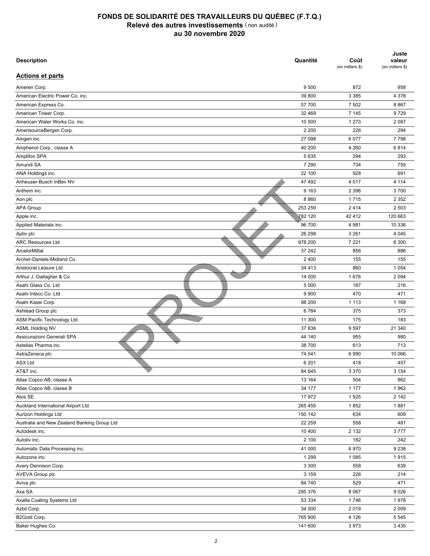| <b>Description</b>                          | Quantité | Coût<br>(en milliers \$) | Juste<br>valeur<br>(en milliers \$) |
|---------------------------------------------|----------|--------------------------|-------------------------------------|
| <b>Actions et parts</b>                     |          |                          |                                     |
| Ameren Corp.                                | 9 500    | 872                      | 958                                 |
| American Electric Power Co. inc.            | 39 800   | 3 3 8 5                  | 4 3 7 8                             |
| American Express Co.                        | 57 700   | 7 5 0 2                  | 8867                                |
| American Tower Corp.                        | 32 469   | 7 1 4 5                  | 9729                                |
| American Water Works Co. inc.               | 10 500   | 1 2 7 3                  | 2 0 8 7                             |
| AmerisourceBergen Corp.                     | 2 2 0 0  | 226                      | 294                                 |
| Amgen inc.                                  | 27 098   | 6 0 7 7                  | 7798                                |
| Amphenol Corp., classe A                    | 40 200   | 4 2 6 0                  | 6814                                |
| <b>Amplifon SPA</b>                         | 5 6 3 5  | 294                      | 293                                 |
| Amundi SA                                   | 7 2 9 0  | 734                      | 755                                 |
| ANA Holdings inc.                           | 22 100   | 928                      | 691                                 |
| Anheuser-Busch InBev NV                     | 47 492   | 4 0 1 7                  | 4 1 1 4                             |
| Anthem inc.                                 | 9 1 6 3  | 2 3 9 8                  | 3700                                |
| Aon plc                                     | 8860     | 1715                     | 2 3 5 2                             |
| <b>APA Group</b>                            | 253 259  | 2414                     | 2 5 0 3                             |
| Apple inc.                                  | 782 120  | 42 412                   | 120 663                             |
| Applied Materials inc.                      | 96 700   | 4 9 8 1                  | 10 336                              |
| Aptiv plc                                   | 26 298   | 3 2 6 1                  | 4 0 4 5                             |
| <b>ARC Resources Ltd</b>                    | 978 200  | 7 2 2 1                  | 6 300                               |
| ArcelorMittal                               | 37 24 2  | 856                      | 886                                 |
| Archer-Daniels-Midland Co.                  | 2 4 0 0  | 155                      | 155                                 |
| Aristocrat Leisure Ltd                      | 34 4 13  | 860                      | 1 0 5 4                             |
| Arthur J. Gallagher & Co.                   | 14 000   | 1676                     | 2 0 9 4                             |
| Asahi Glass Co. Ltd                         | 5 0 0 0  | 187                      | 216                                 |
| Asahi Intecc Co. Ltd                        | 9 9 0 0  | 470                      | 471                                 |
| Asahi Kasei Corp.                           | 98 200   | 1 1 1 3                  | 1 1 6 8                             |
| Ashtead Group plc                           | 6784     | 375                      | 373                                 |
| ASM Pacific Technology Ltd                  | 11 300   | 175                      | 183                                 |
| <b>ASML Holding NV</b>                      | 37 836   | 9597                     | 21 340                              |
| Assicurazioni Generali SPA                  | 44 140   | 955                      | 980                                 |
| Astellas Pharma inc.                        | 38 700   | 613                      | 713                                 |
| AstraZeneca plc                             | 74 541   | 6990                     | 10 066                              |
|                                             |          | 418                      | 457                                 |
| <b>ASX Ltd</b><br>AT&T inc.                 | 6 2 0 1  |                          |                                     |
| Atlas Copco AB, classe A                    | 84 645   | 3 3 7 0                  | 3 1 5 4                             |
|                                             | 13 164   | 504                      | 862                                 |
| Atlas Copco AB, classe B<br>Atos SE         | 34 177   | 1 1 7 7                  | 1962                                |
|                                             | 17972    | 1925                     | 2 142                               |
| Auckland International Airport Ltd          | 265 455  | 1852                     | 1881                                |
| Aurizon Holdings Ltd                        | 150 142  | 634                      | 609                                 |
| Australia and New Zealand Banking Group Ltd | 22 259   | 558                      | 481                                 |
| Autodesk inc.                               | 10 400   | 2 1 3 2                  | 3777                                |
| Autoliv inc.                                | 2 100    | 182                      | 242                                 |
| Automatic Data Processing inc.              | 41 000   | 6970                     | 9 2 3 8                             |
| Autozone inc.                               | 1 2 9 9  | 1 0 8 5                  | 1915                                |
| Avery Dennison Corp.                        | 3 3 0 0  | 558                      | 639                                 |
| AVEVA Group plc                             | 3 1 5 9  | 226                      | 214                                 |
| Aviva plc                                   | 84 740   | 529                      | 471                                 |
| Axa SA                                      | 295 376  | 8 0 6 7                  | 9026                                |
| Axalta Coating Systems Ltd                  | 53 334   | 1746                     | 1978                                |
| Azbil Corp.                                 | 34 500   | 2019                     | 2 0 0 9                             |
| B2Gold Corp.                                | 765 900  | 4 1 2 6                  | 5 5 4 5                             |
| Baker Hughes Co.                            | 141 600  | 3973                     | 3 4 3 5                             |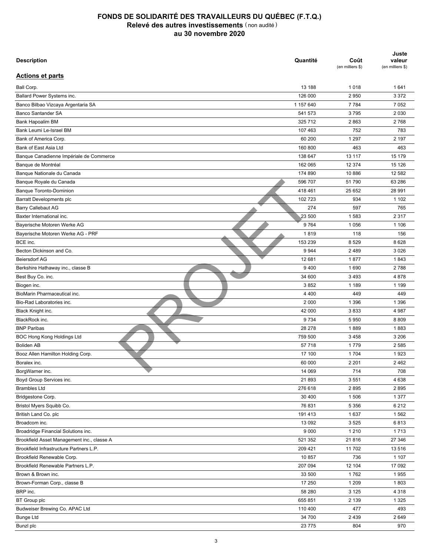| <b>Description</b>                         | Quantité  | Coût<br>(en milliers \$) | Juste<br>valeur<br>(en milliers \$) |
|--------------------------------------------|-----------|--------------------------|-------------------------------------|
| <b>Actions et parts</b>                    |           |                          |                                     |
| Ball Corp.                                 | 13 188    | 1018                     | 1641                                |
| Ballard Power Systems inc.                 | 126 000   | 2950                     | 3 3 7 2                             |
| Banco Bilbao Vizcaya Argentaria SA         | 1 157 640 | 7 7 8 4                  | 7 0 5 2                             |
| <b>Banco Santander SA</b>                  | 541 573   | 3795                     | 2 0 3 0                             |
| Bank Hapoalim BM                           | 325 712   | 2863                     | 2768                                |
| Bank Leumi Le-Israel BM                    | 107 463   | 752                      | 783                                 |
| Bank of America Corp.                      | 60 200    | 1 2 9 7                  | 2 197                               |
| Bank of East Asia Ltd                      | 160 800   | 463                      | 463                                 |
| Banque Canadienne Impériale de Commerce    | 138 647   | 13 117                   | 15 179                              |
| Banque de Montréal                         | 162 065   | 12 374                   | 15 1 26                             |
| Banque Nationale du Canada                 | 174 890   | 10 886                   | 12 582                              |
| Banque Royale du Canada                    | 596 707   | 51 790                   | 63 286                              |
| <b>Banque Toronto-Dominion</b>             | 418 461   | 25 652                   | 28 991                              |
| Barratt Developments plc                   | 102 723   | 934                      | 1 1 0 2                             |
| <b>Barry Callebaut AG</b>                  | 274       | 597                      | 765                                 |
| Baxter International inc.                  | 23 500    | 1583                     | 2 3 1 7                             |
| Bayerische Motoren Werke AG                | 9764      | 1 0 5 6                  | 1 1 0 6                             |
| Bayerische Motoren Werke AG - PRF          | 1819      | 118                      | 156                                 |
| BCE inc.                                   | 153 239   | 8529                     | 8628                                |
| Becton Dickinson and Co.                   | 9944      | 2 4 8 9                  | 3 0 26                              |
| <b>Beiersdorf AG</b>                       | 12 681    | 1877                     | 1843                                |
| Berkshire Hathaway inc., classe B          | 9400      | 1690                     | 2788                                |
| Best Buy Co. inc.                          | 34 600    | 3 4 9 3                  | 4878                                |
| Biogen inc.                                | 3852      | 1 1 8 9                  | 1 1 9 9                             |
| BioMarin Pharmaceutical inc.               | 4 4 0 0   | 449                      | 449                                 |
| Bio-Rad Laboratories inc.                  | 2 0 0 0   | 1 3 9 6                  | 1 3 9 6                             |
| Black Knight inc.                          | 42 000    | 3833                     | 4 9 8 7                             |
| BlackRock inc.                             | 9734      | 5 9 5 0                  | 8809                                |
| <b>BNP Paribas</b>                         | 28 278    | 1889                     | 1883                                |
| <b>BOC Hong Kong Holdings Ltd</b>          | 759 500   | 3 4 5 8                  | 3 2 0 6                             |
| <b>Boliden AB</b>                          | 57 718    | 1779                     | 2 5 8 5                             |
| Booz Allen Hamilton Holding Corp.          | 17 100    | 1 704                    | 1923                                |
| Boralex inc.                               | 60 000    | 2 2 0 1                  | 2462                                |
| BorgWarner inc.                            | 14 069    | 714                      | 708                                 |
| Boyd Group Services inc.                   | 21893     | 3 5 5 1                  | 4 6 3 8                             |
| <b>Brambles Ltd</b>                        | 276 618   | 2895                     | 2895                                |
|                                            | 30 400    | 1 506                    |                                     |
| Bridgestone Corp.                          |           |                          | 1 3 7 7<br>6 2 1 2                  |
| Bristol Myers Squibb Co.                   | 76 831    | 5 3 5 6                  |                                     |
| British Land Co. plc                       | 191 413   | 1637                     | 1562                                |
| Broadcom inc.                              | 13 092    | 3 5 2 5                  | 6813                                |
| Broadridge Financial Solutions inc.        | 9 0 0 0   | 1 2 1 0                  | 1713                                |
| Brookfield Asset Management inc., classe A | 521 352   | 21816                    | 27 346                              |
| Brookfield Infrastructure Partners L.P.    | 209 421   | 11 702                   | 13 516                              |
| Brookfield Renewable Corp.                 | 10 857    | 736                      | 1 1 0 7                             |
| Brookfield Renewable Partners L.P.         | 207 094   | 12 104                   | 17 092                              |
| Brown & Brown inc.                         | 33 500    | 1762                     | 1955                                |
| Brown-Forman Corp., classe B               | 17 250    | 1 2 0 9                  | 1803                                |
| BRP inc.                                   | 58 280    | 3 1 2 5                  | 4 3 1 8                             |
| <b>BT</b> Group plc                        | 655 851   | 2 1 3 9                  | 1 3 2 5                             |
| Budweiser Brewing Co. APAC Ltd             | 110 400   | 477                      | 493                                 |
| <b>Bunge Ltd</b>                           | 34 700    | 2 4 3 9                  | 2649                                |
| Bunzl plc                                  | 23 775    | 804                      | 970                                 |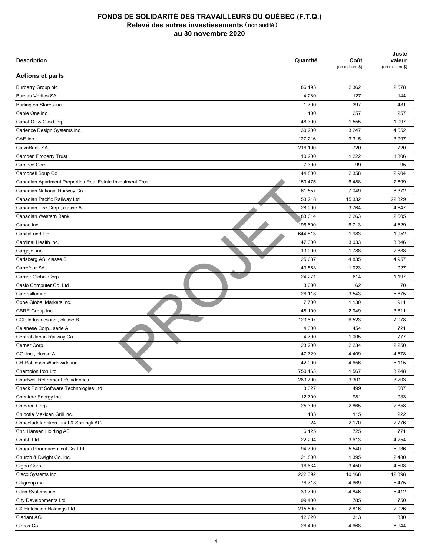| <b>Description</b>                                         | Quantité      | Coût<br>(en milliers \$) | Juste<br>valeur<br>(en milliers \$) |
|------------------------------------------------------------|---------------|--------------------------|-------------------------------------|
| <b>Actions et parts</b>                                    |               |                          |                                     |
| <b>Burberry Group plc</b>                                  | 86 193        | 2 3 6 2                  | 2578                                |
| <b>Bureau Veritas SA</b>                                   | 4 2 8 0       | 127                      | 144                                 |
| Burlington Stores inc.                                     | 1700          | 397                      | 481                                 |
| Cable One inc.                                             | 100           | 257                      | 257                                 |
| Cabot Oil & Gas Corp.                                      | 48 300        | 1 5 5 5                  | 1 0 9 7                             |
| Cadence Design Systems inc.                                | 30 200        | 3 2 4 7                  | 4 5 5 2                             |
| CAE inc.                                                   | 127 216       | 3 3 1 5                  | 3 9 9 7                             |
| CaixaBank SA                                               | 216 190       | 720                      | 720                                 |
| <b>Camden Property Trust</b>                               | 10 200        | 1 2 2 2                  | 1 3 0 6                             |
| Cameco Corp.                                               | 7 300         | 99                       | 95                                  |
| Campbell Soup Co.                                          | 44 800        | 2 3 5 8                  | 2 9 0 4                             |
| Canadian Apartment Properties Real Estate Investment Trust | 150 475       | 6488                     | 7699                                |
| Canadian National Railway Co.                              | 61 557        | 7 0 4 9                  | 8 3 7 2                             |
| Canadian Pacific Railway Ltd                               | 53 218        | 15 3 32                  | 22 329                              |
| Canadian Tire Corp., classe A                              | 28 000        | 3764                     | 4 6 4 7                             |
| Canadian Western Bank                                      | 83 014        | 2 2 6 3                  | 2 5 0 5                             |
| Canon inc.                                                 | 196 600       | 6713                     | 4 5 29                              |
| CapitaLand Ltd                                             | 644 813       | 1983                     | 1952                                |
| Cardinal Health inc.                                       | 47 300        | 3 0 3 3                  | 3 3 4 6                             |
| Cargojet inc.                                              | 13 000        | 1788                     | 2888                                |
| Carlsberg AS, classe B                                     | 25 637        | 4835                     | 4 9 5 7                             |
| Carrefour SA                                               | 43 563        | 1 0 2 3                  | 927                                 |
| Carrier Global Corp.                                       | 24 271        | 614                      | 1 1 9 7                             |
| Casio Computer Co. Ltd                                     | 3 0 0 0       | 62                       | 70                                  |
| Caterpillar inc.                                           | 26 118        | 3 5 4 3                  | 5875                                |
| Cboe Global Markets inc.                                   | 7700          | 1 1 3 0                  | 911                                 |
| CBRE Group inc.                                            | 48 100        | 2949                     | 3811                                |
| CCL Industries inc., classe B                              | 123 607       | 6523                     | 7078                                |
| Celanese Corp., série A                                    | 4 3 0 0       | 454                      | 721                                 |
| Central Japan Railway Co.                                  | 4700          | 1 0 0 5                  | 777                                 |
| Cerner Corp.                                               | 23 200        | 2 2 3 4                  | 2 2 5 0                             |
| CGI inc., classe A                                         | 47 729        | 4 4 0 9                  | 4578                                |
| CH Robinson Worldwide inc.                                 | 42 000        | 4 6 5 6                  | 5 1 1 5                             |
| Champion Iron Ltd                                          | 750 163       | 1567                     | 3 2 4 8                             |
| <b>Chartwell Retirement Residences</b>                     | 283 700       | 3 3 0 1                  | 3 2 0 3                             |
| Check Point Software Technologies Ltd                      | 3 3 2 7       | 499                      | 507                                 |
| Cheniere Energy inc.                                       | 12 700        | 981                      | 933                                 |
| Chevron Corp.                                              | 25 300        | 2865                     | 2858                                |
| Chipotle Mexican Grill inc.                                | 133           | 115                      | 222                                 |
| Chocoladefabriken Lindt & Sprungli AG                      |               |                          | 2776                                |
|                                                            | 24<br>6 1 2 5 | 2 170<br>725             | 771                                 |
| Chr. Hansen Holding AS                                     |               |                          |                                     |
| Chubb Ltd                                                  | 22 204        | 3613                     | 4 2 5 4                             |
| Chugai Pharmaceutical Co. Ltd                              | 94 700        | 5 5 4 0                  | 5936                                |
| Church & Dwight Co. inc.                                   | 21 800        | 1 3 9 5                  | 2 4 8 0                             |
| Cigna Corp.                                                | 16 634        | 3 4 5 0                  | 4 5 0 8                             |
| Cisco Systems inc.                                         | 222 392       | 10 168                   | 12 3 98                             |
| Citigroup inc.                                             | 76 718        | 4 6 6 9                  | 5475                                |
| Citrix Systems inc.                                        | 33 700        | 4 8 4 6                  | 5412                                |
| <b>City Developments Ltd</b>                               | 99 400        | 785                      | 750                                 |
| CK Hutchison Holdings Ltd                                  | 215 500       | 2816                     | 2026                                |
| <b>Clariant AG</b>                                         | 12 6 20       | 313                      | 330                                 |
| Clorox Co.                                                 | 26 400        | 4 6 6 8                  | 6944                                |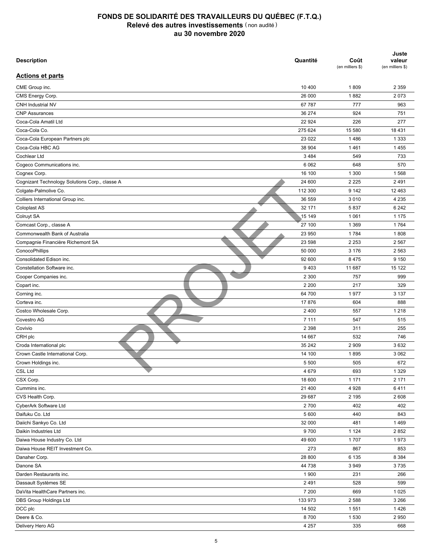| <b>Description</b>                                          | Quantité          | Coût<br>(en milliers \$) | Juste<br>valeur<br>(en milliers \$) |
|-------------------------------------------------------------|-------------------|--------------------------|-------------------------------------|
| <b>Actions et parts</b>                                     |                   |                          |                                     |
| CME Group inc.                                              | 10 400            | 1809                     | 2 3 5 9                             |
| CMS Energy Corp.                                            | 26 000            | 1882                     | 2073                                |
| CNH Industrial NV                                           | 67 787            | 777                      | 963                                 |
| <b>CNP Assurances</b>                                       | 36 274            | 924                      | 751                                 |
| Coca-Cola Amatil Ltd                                        | 22 9 24           | 226                      | 277                                 |
| Coca-Cola Co.                                               | 275 624           | 15 580                   | 18 4 31                             |
| Coca-Cola European Partners plc                             | 23 0 22           | 1486                     | 1 3 3 3                             |
| Coca-Cola HBC AG                                            | 38 904            | 1461                     | 1455                                |
| Cochlear Ltd                                                | 3 4 8 4           | 549                      | 733                                 |
| Cogeco Communications inc.                                  | 6 0 62            | 648                      | 570                                 |
| Cognex Corp.                                                | 16 100            | 1 300                    | 1568                                |
| Cognizant Technology Solutions Corp., classe A              | 24 600            | 2 2 2 5                  | 2 4 9 1                             |
| Colgate-Palmolive Co.                                       | 112 300           | 9 1 4 2                  | 12 4 63                             |
| Colliers International Group inc.                           | 36 559            | 3 0 1 0                  | 4 2 3 5                             |
| Coloplast AS                                                | 32 171            | 5837                     | 6 2 4 2                             |
| Colruyt SA                                                  | 15 149            | 1 0 6 1                  | 1 1 7 5                             |
| Comcast Corp., classe A                                     | 27 100            | 1 3 6 9                  | 1764                                |
| Commonwealth Bank of Australia                              | 23 950            | 1784                     | 1808                                |
| Compagnie Financière Richemont SA                           | 23 598            | 2 2 5 3                  | 2 5 6 7                             |
| ConocoPhillips                                              | 50 000            | 3 1 7 6                  | 2 5 6 3                             |
| Consolidated Edison inc.                                    | 92 600            | 8 4 7 5                  | 9 1 5 0                             |
| Constellation Software inc.                                 | 9403              | 11 687                   | 15 122                              |
| Cooper Companies inc.                                       | 2 3 0 0           | 757                      | 999                                 |
| Copart inc.                                                 | 2 2 0 0           | 217                      | 329                                 |
| Corning inc.                                                | 64 700            | 1977                     | 3 1 3 7                             |
| Corteva inc.                                                | 17876             | 604                      | 888                                 |
| Costco Wholesale Corp.                                      | 2 4 0 0           | 557                      | 1 2 1 8                             |
| Covestro AG                                                 | 7 1 1 1           | 547                      | 515                                 |
| Covivio                                                     | 2 3 9 8           | 311                      | 255                                 |
| CRH plc                                                     | 14 667            | 532                      | 746                                 |
|                                                             | 35 24 2           | 2 9 0 9                  | 3632                                |
| Croda International plc<br>Crown Castle International Corp. | 14 100            | 1895                     | 3 0 6 2                             |
|                                                             |                   | 505                      |                                     |
| Crown Holdings inc.<br>CSL Ltd                              | 5 5 0 0           | 693                      | 672<br>1 3 2 9                      |
| CSX Corp.                                                   | 4 6 7 9<br>18 600 |                          | 2 171                               |
|                                                             |                   | 1 1 7 1                  |                                     |
| Cummins inc.                                                | 21 400            | 4928                     | 6411                                |
| CVS Health Corp.                                            | 29 687            | 2 1 9 5                  | 2608                                |
| CyberArk Software Ltd                                       | 2700              | 402                      | 402                                 |
| Daifuku Co. Ltd                                             | 5 600             | 440                      | 843                                 |
| Daiichi Sankyo Co. Ltd                                      | 32 000            | 481                      | 1469                                |
| Daikin Industries Ltd                                       | 9700              | 1 1 2 4                  | 2852                                |
| Daiwa House Industry Co. Ltd                                | 49 600            | 1707                     | 1973                                |
| Daiwa House REIT Investment Co.                             | 273               | 867                      | 853                                 |
| Danaher Corp.                                               | 28 800            | 6 1 3 5                  | 8 3 8 4                             |
| Danone SA                                                   | 44 738            | 3 9 4 9                  | 3735                                |
| Darden Restaurants inc.                                     | 1 900             | 231                      | 266                                 |
| Dassault Systèmes SE                                        | 2 4 9 1           | 528                      | 599                                 |
| DaVita HealthCare Partners inc.                             | 7 200             | 669                      | 1 0 2 5                             |
| DBS Group Holdings Ltd                                      | 133 973           | 2 5 8 8                  | 3 2 6 6                             |
| DCC plc                                                     | 14 502            | 1 5 5 1                  | 1426                                |
| Deere & Co.                                                 | 8700              | 1 5 3 0                  | 2 9 5 0                             |
| Delivery Hero AG                                            | 4 2 5 7           | 335                      | 668                                 |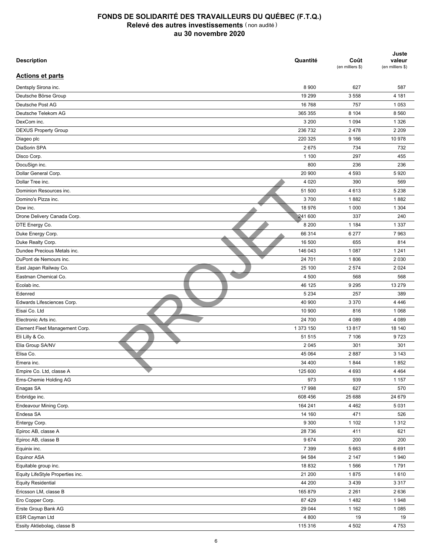| <b>Description</b>               | Quantité  | Coût<br>(en milliers \$) | Juste<br>valeur<br>(en milliers \$) |
|----------------------------------|-----------|--------------------------|-------------------------------------|
| <b>Actions et parts</b>          |           |                          |                                     |
| Dentsply Sirona inc.             | 8 9 0 0   | 627                      | 587                                 |
| Deutsche Börse Group             | 19 299    | 3 5 5 8                  | 4 181                               |
| Deutsche Post AG                 | 16 768    | 757                      | 1 0 5 3                             |
| Deutsche Telekom AG              | 365 355   | 8 1 0 4                  | 8 5 6 0                             |
| DexCom inc.                      | 3 2 0 0   | 1 0 9 4                  | 1 3 2 6                             |
| <b>DEXUS Property Group</b>      | 236 732   | 2478                     | 2 2 0 9                             |
| Diageo plc                       | 220 325   | 9 1 6 6                  | 10 978                              |
| DiaSorin SPA                     | 2675      | 734                      | 732                                 |
| Disco Corp.                      | 1 100     | 297                      | 455                                 |
| DocuSign inc.                    | 800       | 236                      | 236                                 |
| Dollar General Corp.             | 20 900    | 4 5 9 3                  | 5920                                |
| Dollar Tree inc.                 | 4 0 20    | 390                      | 569                                 |
| Dominion Resources inc.          | 51 500    | 4613                     | 5 2 3 8                             |
| Domino's Pizza inc.              | 3700      | 1882                     | 1882                                |
| Dow inc.                         | 18 976    | 1 0 0 0                  | 1 3 0 4                             |
| Drone Delivery Canada Corp.      | 241 600   | 337                      | 240                                 |
| DTE Energy Co.                   | 8 2 0 0   | 1 1 8 4                  | 1 3 3 7                             |
| Duke Energy Corp.                | 66 314    | 6 277                    | 7963                                |
| Duke Realty Corp.                | 16 500    | 655                      | 814                                 |
| Dundee Precious Metals inc.      | 146 043   | 1 0 8 7                  | 1 2 4 1                             |
| DuPont de Nemours inc.           | 24 701    | 1806                     | 2 0 3 0                             |
| East Japan Railway Co.           | 25 100    |                          | 2 0 2 4                             |
| Eastman Chemical Co.             | 4 500     | 2 5 7 4<br>568           | 568                                 |
|                                  | 46 125    | 9 2 9 5                  | 13 279                              |
| Ecolab inc.                      |           |                          |                                     |
| Edenred                          | 5 2 3 4   | 257                      | 389                                 |
| Edwards Lifesciences Corp.       | 40 900    | 3 3 7 0                  | 4 4 4 6                             |
| Eisai Co. Ltd                    | 10 900    | 816                      | 1 0 6 8                             |
| Electronic Arts inc.             | 24 700    | 4 0 8 9                  | 4 0 8 9                             |
| Element Fleet Management Corp.   | 1 373 150 | 13817                    | 18 140                              |
| Eli Lilly & Co.                  | 51 515    | 7 10 6                   | 9723                                |
| Elia Group SA/NV                 | 2 0 4 5   | 301                      | 301                                 |
| Elisa Co.                        | 45 064    | 2887                     | 3 1 4 3                             |
| Emera inc.                       | 34 400    | 1844                     | 1852                                |
| Empire Co. Ltd, classe A         | 125 600   | 4 6 9 3                  | 4 4 6 4                             |
| Ems-Chemie Holding AG            | 973       | 939                      | 1 1 5 7                             |
| Enagas SA                        | 17 998    | 627                      | 570                                 |
| Enbridge inc.                    | 608 456   | 25 688                   | 24 679                              |
| Endeavour Mining Corp.           | 164 241   | 4 4 6 2                  | 5 0 3 1                             |
| Endesa SA                        | 14 160    | 471                      | 526                                 |
| Entergy Corp.                    | 9 3 0 0   | 1 1 0 2                  | 1 3 1 2                             |
| Epiroc AB, classe A              | 28 736    | 411                      | 621                                 |
| Epiroc AB, classe B              | 9674      | 200                      | 200                                 |
| Equinix inc.                     | 7 3 9 9   | 5 6 6 3                  | 6691                                |
| <b>Equinor ASA</b>               | 94 584    | 2 1 4 7                  | 1940                                |
| Equitable group inc.             | 18 832    | 1566                     | 1791                                |
| Equity LifeStyle Properties inc. | 21 200    | 1875                     | 1610                                |
| <b>Equity Residential</b>        | 44 200    | 3 4 3 9                  | 3 3 1 7                             |
| Ericsson LM, classe B            | 165 879   | 2 2 6 1                  | 2636                                |
| Ero Copper Corp.                 | 87 4 29   | 1482                     | 1948                                |
| Erste Group Bank AG              | 29 044    | 1 1 6 2                  | 1 0 8 5                             |
| ESR Cayman Ltd                   | 4 800     | 19                       | 19                                  |
| Essity Aktiebolag, classe B      | 115 316   | 4 5 0 2                  | 4 7 5 3                             |
|                                  |           |                          |                                     |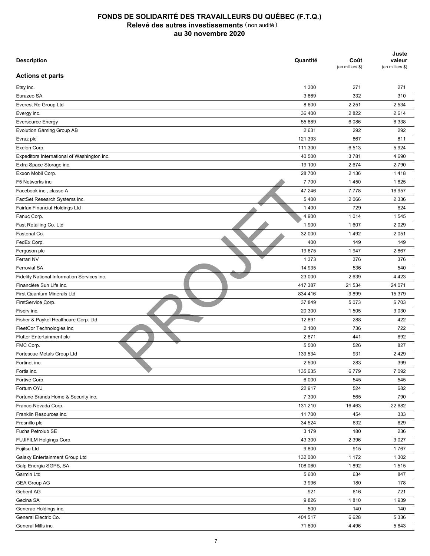| <b>Description</b>                          | Quantité | Coût<br>(en milliers \$) | Juste<br>valeur<br>(en milliers \$) |
|---------------------------------------------|----------|--------------------------|-------------------------------------|
| <b>Actions et parts</b>                     |          |                          |                                     |
| Etsy inc.                                   | 1 300    | 271                      | 271                                 |
| Eurazeo SA                                  | 3869     | 332                      | 310                                 |
| Everest Re Group Ltd                        | 8 600    | 2 2 5 1                  | 2 5 3 4                             |
| Evergy inc.                                 | 36 400   | 2822                     | 2614                                |
| <b>Eversource Energy</b>                    | 55 889   | 6086                     | 6 3 3 8                             |
| Evolution Gaming Group AB                   | 2631     | 292                      | 292                                 |
| Evraz plc                                   | 121 393  | 867                      | 811                                 |
| Exelon Corp.                                | 111 300  | 6513                     | 5924                                |
| Expeditors International of Washington inc. | 40 500   | 3781                     | 4 6 9 0                             |
| Extra Space Storage inc.                    | 19 100   | 2674                     | 2790                                |
| Exxon Mobil Corp.                           | 28 700   | 2 1 3 6                  | 1418                                |
| F5 Networks inc.                            | 7700     | 1450                     | 1625                                |
| Facebook inc., classe A                     | 47 246   | 7778                     | 16 957                              |
| FactSet Research Systems inc.               | 5 4 0 0  | 2 0 6 6                  | 2 3 3 6                             |
| Fairfax Financial Holdings Ltd              | 1 4 0 0  | 729                      | 624                                 |
| Fanuc Corp.                                 | 4 9 0 0  | 1014                     | 1545                                |
| Fast Retailing Co. Ltd                      | 1 900    | 1 607                    | 2 0 2 9                             |
| Fastenal Co.                                | 32 000   | 1492                     | 2 0 5 1                             |
| FedEx Corp.                                 | 400      | 149                      | 149                                 |
| Ferguson plc                                | 19675    | 1947                     | 2867                                |
| Ferrari NV                                  | 1 3 7 3  | 376                      | 376                                 |
| <b>Ferrovial SA</b>                         | 14 935   | 536                      | 540                                 |
| Fidelity National Information Services inc. | 23 000   | 2639                     | 4 4 2 3                             |
| Financière Sun Life inc.                    | 417 387  | 21 534                   | 24 071                              |
| First Quantum Minerals Ltd                  | 834 416  | 9899                     | 15 379                              |
| FirstService Corp.                          | 37 849   | 5 0 7 3                  | 6703                                |
| Fisery inc.                                 | 20 300   | 1 505                    | 3 0 3 0                             |
| Fisher & Paykel Healthcare Corp. Ltd        | 12 891   | 288                      | 422                                 |
| FleetCor Technologies inc.                  | 2 100    | 736                      | 722                                 |
| Flutter Entertainment plc                   | 2871     | 441                      | 692                                 |
| FMC Corp.                                   | 5 500    | 526                      | 827                                 |
| Fortescue Metals Group Ltd                  | 139 534  | 931                      | 2 4 2 9                             |
| Fortinet inc.                               | 2 500    | 283                      | 399                                 |
| Fortis inc.                                 | 135 635  | 6779                     | 7 0 9 2                             |
| Fortive Corp.                               | 6 0 0 0  | 545                      | 545                                 |
| Fortum OYJ                                  | 22 917   | 524                      | 682                                 |
| Fortune Brands Home & Security inc.         | 7 300    | 565                      | 790                                 |
| Franco-Nevada Corp.                         | 131 210  | 16 4 63                  | 22 682                              |
| Franklin Resources inc.                     | 11700    | 454                      | 333                                 |
| Fresnillo plc                               | 34 524   | 632                      | 629                                 |
| Fuchs Petrolub SE                           | 3 1 7 9  | 180                      | 236                                 |
|                                             |          |                          | 3 0 27                              |
| FUJIFILM Holgings Corp.                     | 43 300   | 2 3 9 6                  |                                     |
| Fujitsu Ltd                                 | 9800     | 915                      | 1767                                |
| Galaxy Entertainment Group Ltd              | 132 000  | 1 1 7 2                  | 1 3 0 2                             |
| Galp Energia SGPS, SA                       | 108 060  | 1892                     | 1515                                |
| Garmin Ltd                                  | 5 600    | 634                      | 847                                 |
| <b>GEA Group AG</b>                         | 3 9 9 6  | 180                      | 178                                 |
| Geberit AG                                  | 921      | 616                      | 721                                 |
| Gecina SA                                   | 9826     | 1810                     | 1939                                |
| Generac Holdings inc.                       | 500      | 140                      | 140                                 |
| General Electric Co.                        | 404 517  | 6628                     | 5 3 3 6                             |
| General Mills inc.                          | 71 600   | 4 4 9 6                  | 5 6 4 3                             |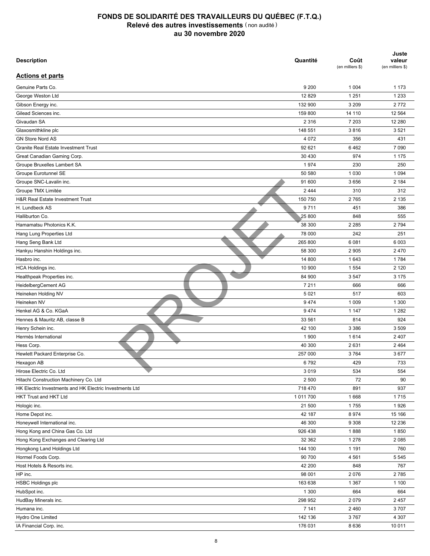| <b>Description</b>                                      | Quantité | Coût<br>(en milliers \$) | Juste<br>valeur<br>(en milliers \$) |
|---------------------------------------------------------|----------|--------------------------|-------------------------------------|
| <b>Actions et parts</b>                                 |          |                          |                                     |
| Genuine Parts Co.                                       | 9 2 0 0  | 1 0 0 4                  | 1 1 7 3                             |
| George Weston Ltd                                       | 12 8 29  | 1 2 5 1                  | 1 2 3 3                             |
| Gibson Energy inc.                                      | 132 900  | 3 2 0 9                  | 2772                                |
| Gilead Sciences inc.                                    | 159 800  | 14 110                   | 12 5 64                             |
| Givaudan SA                                             | 2 3 1 6  | 7 203                    | 12 280                              |
| Glaxosmithkline plc                                     | 148 551  | 3816                     | 3521                                |
| <b>GN Store Nord AS</b>                                 | 4 0 7 2  | 356                      | 431                                 |
| <b>Granite Real Estate Investment Trust</b>             | 92 621   | 6462                     | 7 0 9 0                             |
| Great Canadian Gaming Corp.                             | 30 430   | 974                      | 1 1 7 5                             |
| Groupe Bruxelles Lambert SA                             | 1974     | 230                      | 250                                 |
| <b>Groupe Eurotunnel SE</b>                             | 50 580   | 1 0 3 0                  | 1 0 9 4                             |
| Groupe SNC-Lavalin inc.                                 | 91 600   | 3656                     | 2 1 8 4                             |
| Groupe TMX Limitée                                      | 2 4 4 4  | 310                      | 312                                 |
| H&R Real Estate Investment Trust                        | 150 750  | 2765                     | 2 1 3 5                             |
| H. Lundbeck AS                                          | 9711     | 451                      | 386                                 |
| Halliburton Co.                                         | 25 800   | 848                      | 555                                 |
| Hamamatsu Photonics K.K.                                | 38 300   | 2 2 8 5                  | 2 7 9 4                             |
| Hang Lung Properties Ltd                                | 78 000   | 242                      | 251                                 |
| Hang Seng Bank Ltd                                      | 265 800  | 6081                     | 6 0 0 3                             |
| Hankyu Hanshin Holdings inc.                            | 58 300   | 2 9 0 5                  | 2 4 7 0                             |
| Hasbro inc.                                             | 14 800   | 1 643                    | 1784                                |
| HCA Holdings inc.                                       | 10 900   | 1 5 5 4                  | 2 1 2 0                             |
| Healthpeak Properties inc.                              | 84 900   | 3547                     | 3 1 7 5                             |
| HeidelbergCement AG                                     | 7 2 1 1  | 666                      | 666                                 |
| Heineken Holding NV                                     | 5 0 21   | 517                      | 603                                 |
| Heineken NV                                             | 9474     | 1 0 0 9                  | 1 300                               |
| Henkel AG & Co. KGaA                                    | 9474     | 1 1 4 7                  | 1 2 8 2                             |
| Hennes & Mauritz AB, classe B                           | 33 561   | 814                      | 924                                 |
| Henry Schein inc.                                       | 42 100   | 3 3 8 6                  | 3509                                |
| Hermès International                                    | 1 900    | 1614                     | 2 4 0 7                             |
| Hess Corp.                                              | 40 300   | 2631                     | 2 4 6 4                             |
| Hewlett Packard Enterprise Co.                          | 257 000  | 3764                     | 3677                                |
| Hexagon AB                                              | 6792     | 429                      | 733                                 |
| Hirose Electric Co. Ltd                                 | 3019     | 534                      | 554                                 |
| Hitachi Construction Machinery Co. Ltd                  | 2 500    | 72                       | 90                                  |
| HK Electric Investments and HK Electric Investments Ltd | 718 470  | 891                      | 937                                 |
| <b>HKT Trust and HKT Ltd</b>                            | 1011700  | 1668                     | 1715                                |
| Hologic inc.                                            | 21 500   | 1755                     | 1926                                |
| Home Depot inc.                                         | 42 187   | 8974                     | 15 166                              |
| Honeywell International inc.                            | 46 300   | 9 3 0 8                  | 12 2 36                             |
| Hong Kong and China Gas Co. Ltd                         | 926 438  | 1888                     | 1850                                |
| Hong Kong Exchanges and Clearing Ltd                    | 32 362   | 1 2 7 8                  | 2 0 8 5                             |
| Hongkong Land Holdings Ltd                              | 144 100  | 1 1 9 1                  | 760                                 |
| Hormel Foods Corp.                                      | 90 700   | 4561                     | 5 5 4 5                             |
| Host Hotels & Resorts inc.                              | 42 200   | 848                      | 767                                 |
|                                                         |          |                          |                                     |
| HP inc.                                                 | 98 001   | 2076                     | 2785                                |
| <b>HSBC Holdings plc</b>                                | 163 638  | 1 3 6 7                  | 1 100                               |
| HubSpot inc.                                            | 1 300    | 664                      | 664                                 |
| HudBay Minerals inc.                                    | 298 952  | 2079                     | 2 4 5 7                             |
| Humana inc.                                             | 7 141    | 2 4 6 0                  | 3707                                |
| Hydro One Limited                                       | 142 136  | 3767                     | 4 3 0 7                             |
| IA Financial Corp. inc.                                 | 176 031  | 8636                     | 10 011                              |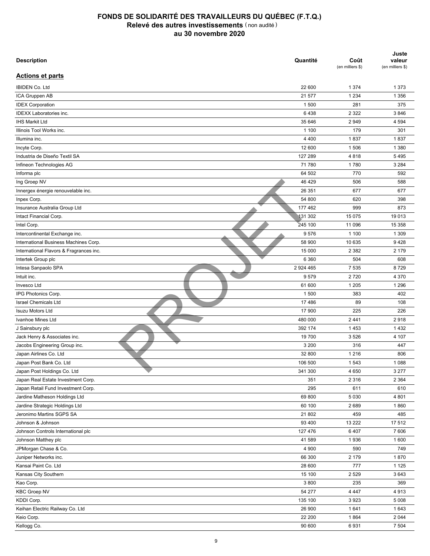| <b>Description</b>                      | Quantité      | Coût<br>(en milliers \$) | Juste<br>valeur<br>(en milliers \$) |
|-----------------------------------------|---------------|--------------------------|-------------------------------------|
| <b>Actions et parts</b>                 |               |                          |                                     |
| <b>IBIDEN Co. Ltd</b>                   | 22 600        | 1 3 7 4                  | 1 3 7 3                             |
| ICA Gruppen AB                          | 21 577        | 1 2 3 4                  | 1 3 5 6                             |
| <b>IDEX Corporation</b>                 | 1 500         | 281                      | 375                                 |
| IDEXX Laboratories inc.                 | 6438          | 2 3 2 2                  | 3846                                |
| <b>IHS Markit Ltd</b>                   | 35 646        | 2949                     | 4 5 9 4                             |
| Illinois Tool Works inc.                | 1 100         | 179                      | 301                                 |
| Illumina inc.                           | 4 4 0 0       | 1837                     | 1837                                |
| Incyte Corp.                            | 12 600        | 1 506                    | 1 3 8 0                             |
| Industria de Diseño Textil SA           | 127 289       | 4818                     | 5495                                |
| Infineon Technologies AG                | 71 780        | 1780                     | 3 2 8 4                             |
| Informa plc                             | 64 502        | 770                      | 592                                 |
| Ing Groep NV                            | 46 429        | 506                      | 588                                 |
| Innergex énergie renouvelable inc.      | 26 351        | 677                      | 677                                 |
| Inpex Corp.                             | 54 800        | 620                      | 398                                 |
| Insurance Australia Group Ltd           | 177 462       | 999                      | 873                                 |
| Intact Financial Corp.                  | 131 302       | 15 0 75                  | 19013                               |
| Intel Corp.                             | 245 100       | 11 096                   | 15 358                              |
| Intercontinental Exchange inc.          | 9576          | 1 100                    | 1 3 0 9                             |
| International Business Machines Corp.   | 58 900        | 10 635                   | 9428                                |
| International Flavors & Fragrances inc. | 15 000        | 2 3 8 2                  | 2 1 7 9                             |
| Intertek Group plc                      | 6 3 6 0       | 504                      | 608                                 |
| Intesa Sanpaolo SPA                     | 2 9 2 4 4 6 5 | 7 5 3 5                  | 8729                                |
| Intuit inc.                             | 9579          | 2720                     | 4 3 7 0                             |
| Invesco Ltd                             | 61 600        | 1 2 0 5                  | 1 2 9 6                             |
| IPG Photonics Corp.                     | 1 500         | 383                      | 402                                 |
| <b>Israel Chemicals Ltd</b>             | 17486         | 89                       | 108                                 |
| <b>Isuzu Motors Ltd</b>                 | 17 900        | 225                      | 226                                 |
| Ivanhoe Mines Ltd                       | 480 000       | 2 4 4 1                  | 2918                                |
| J Sainsbury plc                         | 392 174       | 1453                     | 1432                                |
| Jack Henry & Associates inc.            | 19 700        | 3 5 2 6                  | 4 107                               |
| Jacobs Engineering Group inc.           | 3 2 0 0       | 316                      | 447                                 |
| Japan Airlines Co. Ltd                  | 32 800        | 1 2 1 6                  | 806                                 |
| Japan Post Bank Co. Ltd                 | 106 500       | 1 5 4 3                  | 1 0 8 8                             |
| Japan Post Holdings Co. Ltd             | 341 300       | 4 6 5 0                  | 3 2 7 7                             |
| Japan Real Estate Investment Corp.      | 351           | 2 3 1 6                  | 2 3 6 4                             |
| Japan Retail Fund Investment Corp.      | 295           | 611                      | 610                                 |
| Jardine Matheson Holdings Ltd           | 69 800        |                          |                                     |
| Jardine Strategic Holdings Ltd          | 60 100        | 5 0 3 0<br>2689          | 4 8 0 1<br>1860                     |
|                                         |               |                          |                                     |
| Jeronimo Martins SGPS SA                | 21 802        | 459                      | 485                                 |
| Johnson & Johnson                       | 93 400        | 13 222                   | 17 512                              |
| Johnson Controls International plc      | 127 476       | 6407                     | 7606                                |
| Johnson Matthey plc                     | 41 589        | 1936                     | 1600                                |
| JPMorgan Chase & Co.                    | 4 9 0 0       | 590                      | 749                                 |
| Juniper Networks inc.                   | 66 300        | 2 179                    | 1870                                |
| Kansai Paint Co. Ltd                    | 28 600        | 777                      | 1 1 2 5                             |
| Kansas City Southern                    | 15 100        | 2 5 2 9                  | 3643                                |
| Kao Corp.                               | 3 800         | 235                      | 369                                 |
| <b>KBC Groep NV</b>                     | 54 277        | 4 4 4 7                  | 4913                                |
| KDDI Corp.                              | 135 100       | 3923                     | 5 0 0 8                             |
| Keihan Electric Railway Co. Ltd         | 26 900        | 1641                     | 1643                                |
| Keio Corp.                              | 22 200        | 1864                     | 2 0 4 4                             |
| Kellogg Co.                             | 90 600        | 6931                     | 7 5 0 4                             |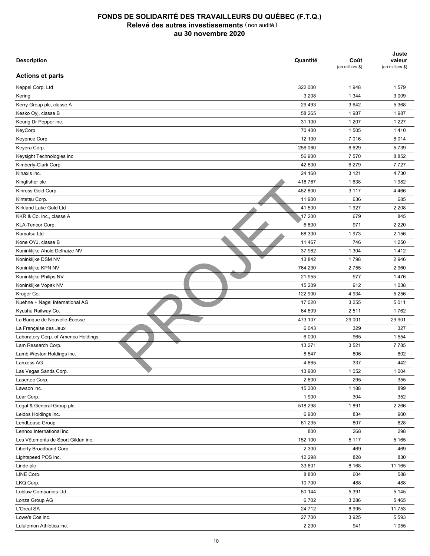| <b>Description</b>                   | Quantité | Coût<br>(en milliers \$) | Juste<br>valeur<br>(en milliers \$) |
|--------------------------------------|----------|--------------------------|-------------------------------------|
| <b>Actions et parts</b>              |          |                          |                                     |
| Keppel Corp. Ltd                     | 322 000  | 1948                     | 1579                                |
| Kering                               | 3 2 0 8  | 1 3 4 4                  | 3 0 0 9                             |
| Kerry Group plc, classe A            | 29 4 93  | 3642                     | 5 3 6 8                             |
| Kesko Oyj, classe B                  | 58 265   | 1987                     | 1987                                |
| Keurig Dr Pepper inc.                | 31 100   | 1 207                    | 1 2 2 7                             |
| KeyCorp                              | 70 400   | 1 5 0 5                  | 1410                                |
| Keyence Corp.                        | 12 100   | 7016                     | 8 0 1 4                             |
| Keyera Corp.                         | 256 060  | 6629                     | 5739                                |
| Keysight Technologies inc.           | 56 900   | 7570                     | 8852                                |
| Kimberly-Clark Corp.                 | 42 800   | 6 2 7 9                  | 7727                                |
| Kinaxis inc.                         | 24 160   | 3 1 2 1                  | 4730                                |
| Kingfisher plc                       | 418767   | 1638                     | 1982                                |
| Kinross Gold Corp.                   | 482 800  | 3 1 1 7                  | 4 4 6 6                             |
| Kintetsu Corp.                       | 11 900   | 636                      | 685                                 |
| Kirkland Lake Gold Ltd               | 41 500   | 1927                     | 2 2 0 8                             |
| KKR & Co. inc., classe A             | 17 200   | 679                      | 845                                 |
| KLA-Tencor Corp.                     | 6800     | 971                      | 2 2 2 0                             |
| Komatsu Ltd                          | 68 300   | 1973                     | 2 1 5 6                             |
| Kone OYJ, classe B                   | 11 467   | 746                      | 1 2 5 0                             |
| Koninklijke Ahold Delhaize NV        | 37 962   | 1 3 0 4                  | 1412                                |
| Koninklijke DSM NV                   | 13842    | 1798                     | 2946                                |
| Koninklijke KPN NV                   | 764 230  | 2755                     | 2 9 6 0                             |
| Koninklijke Philips NV               | 21 955   | 977                      | 1476                                |
| Koninklijke Vopak NV                 | 15 209   | 912                      | 1 0 38                              |
| Kroger Co.                           | 122 900  | 4 9 3 4                  | 5 2 5 6                             |
| Kuehne + Nagel International AG      | 17 0 20  | 3 2 5 5                  | 5011                                |
| Kyushu Railway Co.                   | 64 509   | 2511                     | 1762                                |
| La Banque de Nouvelle-Écosse         | 473 107  | 29 001                   | 29 901                              |
| La Française des Jeux                | 6 0 4 3  | 329                      | 327                                 |
| Laboratory Corp. of America Holdings | 6 0 0 0  | 965                      | 1 5 5 4                             |
| Lam Research Corp.                   | 13 271   | 3521                     | 7785                                |
| Lamb Weston Holdings inc.            | 8 5 4 7  | 806                      | 802                                 |
| Lanxess AG                           | 4 8 6 5  | 337                      | 442                                 |
| Las Vegas Sands Corp.                | 13 900   | 1 0 5 2                  | 1 0 0 4                             |
| Lasertec Corp.                       | 2 600    | 295                      | 355                                 |
| Lawson inc.                          | 15 300   | 1 1 8 8                  | 899                                 |
| Lear Corp.                           | 1 900    | 304                      | 352                                 |
| Legal & General Group plc            | 518 298  | 1891                     | 2 2 6 6                             |
| Leidos Holdings inc.                 | 6 900    | 834                      | 900                                 |
| LendLease Group                      | 61 235   | 807                      | 828                                 |
| Lennox International inc.            | 800      | 268                      | 298                                 |
|                                      |          |                          |                                     |
| Les Vêtements de Sport Gildan inc.   | 152 100  | 5 1 1 7                  | 5 1 6 5                             |
| Liberty Broadband Corp.              | 2 3 0 0  | 469                      | 469                                 |
| Lightspeed POS inc.                  | 12 298   | 828                      | 830                                 |
| Linde plc                            | 33 601   | 8 1 6 8                  | 11 165                              |
| LINE Corp.                           | 8 8 0 0  | 604                      | 588                                 |
| LKQ Corp.                            | 10 700   | 488                      | 488                                 |
| Loblaw Companies Ltd                 | 80 144   | 5 3 9 1                  | 5 1 4 5                             |
| Lonza Group AG                       | 6702     | 3 2 8 6                  | 5465                                |
| L'Oreal SA                           | 24 712   | 8995                     | 11753                               |
| Lowe's Cos inc.                      | 27 700   | 3925                     | 5 5 9 3                             |
| Lululemon Athletica inc.             | 2 2 0 0  | 941                      | 1 0 5 5                             |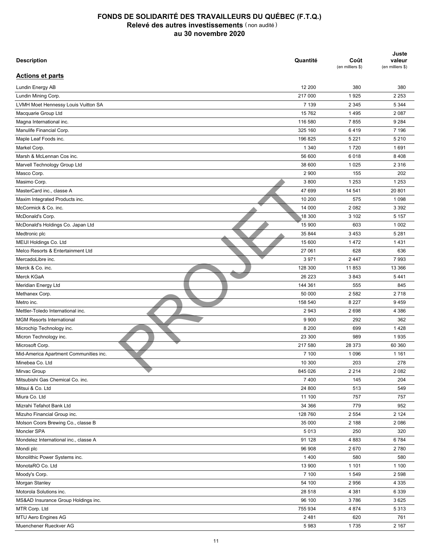| <b>Description</b>                                | Quantité | Coût<br>(en milliers \$) | Juste<br>valeur<br>(en milliers \$) |
|---------------------------------------------------|----------|--------------------------|-------------------------------------|
| <b>Actions et parts</b>                           |          |                          |                                     |
| Lundin Energy AB                                  | 12 200   | 380                      | 380                                 |
| Lundin Mining Corp.                               | 217 000  | 1925                     | 2 2 5 3                             |
| LVMH Moet Hennessy Louis Vuitton SA               | 7 1 3 9  | 2 3 4 5                  | 5 3 4 4                             |
| Macquarie Group Ltd                               | 15 7 62  | 1 4 9 5                  | 2 0 8 7                             |
| Magna International inc.                          | 116 580  | 7855                     | 9 2 8 4                             |
| Manulife Financial Corp.                          | 325 160  | 6419                     | 7 1 9 6                             |
| Maple Leaf Foods inc.                             | 196 825  | 5 2 2 1                  | 5 2 1 0                             |
| Markel Corp.                                      | 1 3 4 0  | 1720                     | 1691                                |
| Marsh & McLennan Cos inc.                         | 56 600   | 6018                     | 8 4 0 8                             |
| Marvell Technology Group Ltd                      | 38 600   | 1 0 2 5                  | 2 3 1 6                             |
| Masco Corp.                                       | 2 9 0 0  | 155                      | 202                                 |
| Masimo Corp.                                      | 3800     | 1 2 5 3                  | 1 2 5 3                             |
| MasterCard inc., classe A                         | 47 699   | 14 541                   | 20 801                              |
| Maxim Integrated Products inc.                    | 10 200   | 575                      | 1 0 9 8                             |
| McCormick & Co. inc.                              | 14 000   | 2 0 8 2                  | 3 3 9 2                             |
| McDonald's Corp.                                  | 18 300   | 3 1 0 2                  | 5 1 5 7                             |
| McDonald's Holdings Co. Japan Ltd                 | 15 900   | 603                      | 1 0 0 2                             |
| Medtronic plc                                     | 35 844   | 3 4 5 3                  | 5 2 8 1                             |
| MEIJI Holdings Co. Ltd                            | 15 600   | 1472                     | 1431                                |
| Melco Resorts & Entertainment Ltd                 | 27 061   | 628                      | 636                                 |
| MercadoLibre inc.                                 | 3971     | 2 4 4 7                  | 7993                                |
| Merck & Co. inc.                                  | 128 300  | 11853                    | 13 366                              |
| Merck KGaA                                        | 26 223   | 3843                     | 5 4 4 1                             |
| Meridian Energy Ltd                               | 144 361  | 555                      | 845                                 |
| Methanex Corp.                                    | 50 000   | 2 5 8 2                  | 2718                                |
| Metro inc.                                        | 158 540  | 8 2 2 7                  | 9459                                |
| Mettler-Toledo International inc.                 | 2943     | 2698                     | 4 3 8 6                             |
| <b>MGM Resorts International</b>                  | 9 9 0 0  | 292                      | 362                                 |
| Microchip Technology inc.                         | 8 2 0 0  | 699                      | 1428                                |
| Micron Technology inc.                            | 23 300   | 989                      | 1935                                |
| Microsoft Corp.                                   | 217 580  | 28 373                   | 60 360                              |
| Mid-America Apartment Communities inc.            | 7 100    | 1 0 9 6                  | 1 1 6 1                             |
| Minebea Co. Ltd                                   | 10 300   | 203                      | 278                                 |
| Mirvac Group                                      | 845 026  | 2 2 1 4                  | 2 0 8 2                             |
| Mitsubishi Gas Chemical Co. inc.                  | 7 4 0 0  | 145                      | 204                                 |
| Mitsui & Co. Ltd                                  | 24 800   | 513                      | 549                                 |
| Miura Co. Ltd                                     | 11 100   | 757                      | 757                                 |
| Mizrahi Tefahot Bank Ltd                          | 34 366   | 779                      | 952                                 |
|                                                   |          |                          |                                     |
| Mizuho Financial Group inc.                       | 128 760  | 2 5 5 4                  | 2 1 2 4                             |
| Molson Coors Brewing Co., classe B<br>Moncler SPA | 35 000   | 2 188                    | 2086                                |
|                                                   | 5013     | 250                      | 320                                 |
| Mondelez International inc., classe A             | 91 128   | 4883                     | 6784                                |
| Mondi plc                                         | 96 908   | 2670                     | 2780                                |
| Monolithic Power Systems inc.                     | 1 4 0 0  | 580                      | 580                                 |
| MonotaRO Co. Ltd                                  | 13 900   | 1 1 0 1                  | 1 100                               |
| Moody's Corp.                                     | 7 100    | 1 549                    | 2 5 9 8                             |
| Morgan Stanley                                    | 54 100   | 2956                     | 4 3 3 5                             |
| Motorola Solutions inc.                           | 28 518   | 4 3 8 1                  | 6 3 3 9                             |
| MS&AD Insurance Group Holdings inc.               | 96 100   | 3786                     | 3625                                |
| MTR Corp. Ltd                                     | 755 934  | 4 8 7 4                  | 5313                                |
| MTU Aero Engines AG                               | 2 4 8 1  | 620                      | 761                                 |
| Muenchener Rueckver AG                            | 5983     | 1735                     | 2 1 6 7                             |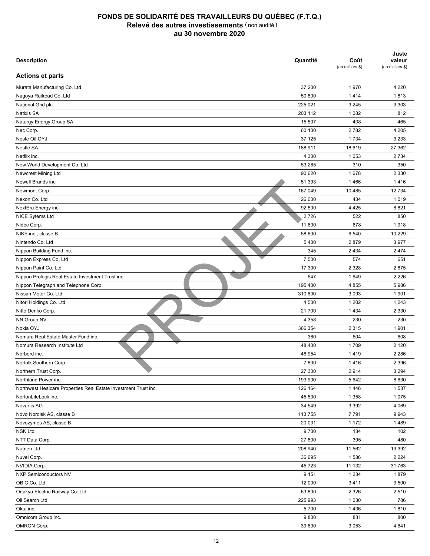| <b>Description</b>                                              | Quantité | Coût<br>(en milliers \$) | Juste<br>valeur<br>(en milliers \$) |
|-----------------------------------------------------------------|----------|--------------------------|-------------------------------------|
| <b>Actions et parts</b>                                         |          |                          |                                     |
| Murata Manufacturing Co. Ltd                                    | 37 200   | 1970                     | 4 2 2 0                             |
| Nagoya Railroad Co. Ltd                                         | 50 800   | 1414                     | 1813                                |
| National Grid plc                                               | 225 021  | 3 2 4 5                  | 3 3 0 3                             |
| Natixis SA                                                      | 203 112  | 1 0 8 2                  | 812                                 |
| Naturgy Energy Group SA                                         | 15 507   | 438                      | 465                                 |
| Nec Corp.                                                       | 60 100   | 2782                     | 4 2 0 5                             |
| Neste Oil OYJ                                                   | 37 125   | 1734                     | 3 2 3 3                             |
| Nestlé SA                                                       | 188 911  | 18 6 19                  | 27 362                              |
| Netflix inc.                                                    | 4 300    | 1 0 5 3                  | 2 7 3 4                             |
| New World Development Co. Ltd                                   | 53 285   | 310                      | 350                                 |
| Newcrest Mining Ltd                                             | 90 620   | 1678                     | 2 3 3 0                             |
| Newell Brands inc.                                              | 51 393   | 1466                     | 1416                                |
| Newmont Corp.                                                   | 167 049  | 10 4 8 5                 | 12 734                              |
| Nexon Co. Ltd                                                   | 26 000   | 434                      | 1019                                |
| NextEra Energy inc.                                             | 92 500   | 4 4 2 5                  | 8821                                |
| NICE Sytems Ltd                                                 | 2726     | 522                      | 850                                 |
| Nidec Corp.                                                     | 11 600   | 678                      | 1918                                |
| NIKE inc., classe B                                             | 58 600   | 6 540                    | 10 229                              |
| Nintendo Co. Ltd                                                | 5400     | 2879                     | 3977                                |
| Nippon Building Fund inc.                                       | 345      | 2 4 3 4                  | 2 4 7 4                             |
| Nippon Express Co. Ltd                                          | 7 500    | 574                      | 651                                 |
| Nippon Paint Co. Ltd                                            | 17 300   | 2 3 2 8                  | 2875                                |
| Nippon Prologis Real Estate Investment Trust inc.               | 547      | 1649                     | 2 2 2 6                             |
| Nippon Telegraph and Telephone Corp.                            | 195 400  | 4 8 5 5                  | 5986                                |
| Nissan Motor Co. Ltd                                            | 310 600  | 3 0 9 3                  | 1 9 0 1                             |
| Nitori Holdings Co. Ltd                                         | 4 500    | 1 2 0 2                  | 1 2 4 3                             |
| Nitto Denko Corp.                                               | 21 700   | 1 4 3 4                  | 2 3 3 0                             |
| NN Group NV                                                     | 4 3 5 8  | 230                      | 230                                 |
| Nokia OYJ                                                       | 366 354  | 2 3 1 5                  | 1901                                |
| Nomura Real Estate Master Fund inc.                             | 360      | 604                      | 608                                 |
| Nomura Research Institute Ltd                                   | 48 400   | 1709                     | 2 1 2 0                             |
| Norbord inc.                                                    | 46 954   | 1419                     | 2 2 8 6                             |
|                                                                 |          |                          |                                     |
| Norfolk Southern Corp.                                          | 7800     | 1416                     | 2 3 9 6                             |
| Northern Trust Corp.                                            | 27 300   | 2914                     | 3 2 9 4                             |
| Northland Power inc.                                            | 193 900  | 5 6 4 2                  | 8 6 3 0                             |
| Northwest Healcare Properties Real Estate Investment Trust inc. | 126 164  | 1446                     | 1537                                |
| NortonLifeLock inc.                                             | 45 500   | 1 3 5 8                  | 1075                                |
| Novartis AG                                                     | 34 549   | 3 3 9 2                  | 4 0 6 9                             |
| Novo Nordisk AS, classe B                                       | 113 755  | 7791                     | 9943                                |
| Novozymes AS, classe B                                          | 20 031   | 1 1 7 2                  | 1489                                |
| <b>NSK Ltd</b>                                                  | 9700     | 134                      | 102                                 |
| NTT Data Corp.                                                  | 27 800   | 395                      | 480                                 |
| Nutrien Ltd                                                     | 208 940  | 11 562                   | 13 392                              |
| Nuvei Corp.                                                     | 36 695   | 1586                     | 2 2 2 4                             |
| NVIDIA Corp.                                                    | 45 723   | 11 132                   | 31763                               |
| <b>NXP Semiconductors NV</b>                                    | 9 1 5 1  | 1 2 3 4                  | 1879                                |
| OBIC Co. Ltd                                                    | 12 000   | 3411                     | 3 500                               |
| Odakyu Electric Railway Co. Ltd                                 | 63 800   | 2 3 2 6                  | 2510                                |
| Oil Search Ltd                                                  | 225 993  | 1 0 3 0                  | 786                                 |
| Okta inc.                                                       | 5700     | 1436                     | 1810                                |
| Omnicom Group inc.                                              | 9800     | 831                      | 800                                 |
| OMRON Corp.                                                     | 39 600   | 3 0 5 3                  | 4 641                               |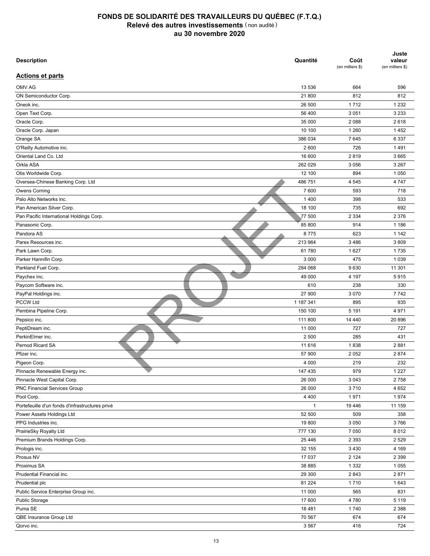| <b>Description</b>                              | Quantité     | Coût<br>(en milliers \$) | Juste<br>valeur<br>(en milliers \$) |
|-------------------------------------------------|--------------|--------------------------|-------------------------------------|
| <b>Actions et parts</b>                         |              |                          |                                     |
| OMV AG                                          | 13 536       | 664                      | 596                                 |
| ON Semiconductor Corp.                          | 21 800       | 812                      | 812                                 |
| Oneok inc.                                      | 26 500       | 1712                     | 1 2 3 2                             |
| Open Text Corp.                                 | 56 400       | 3 0 5 1                  | 3 2 3 3                             |
| Oracle Corp.                                    | 35 000       | 2 0 8 8                  | 2618                                |
| Oracle Corp. Japan                              | 10 100       | 1 2 6 0                  | 1452                                |
| Orange SA                                       | 386 034      | 7645                     | 6 3 3 7                             |
| O'Reilly Automotive inc.                        | 2 600        | 726                      | 1491                                |
| Oriental Land Co. Ltd                           | 16 600       | 2819                     | 3 6 6 5                             |
| Orkla ASA                                       | 262 029      | 3 0 5 6                  | 3 2 6 7                             |
| Otis Worldwide Corp.                            | 12 100       | 894                      | 1 0 5 0                             |
| Oversea-Chinese Banking Corp. Ltd               | 486 751      | 4 5 4 5                  | 4747                                |
| Owens Corning                                   | 7 600        | 593                      | 718                                 |
| Palo Alto Networks inc.                         | 1400         | 398                      | 533                                 |
| Pan American Silver Corp.                       | 18 100       | 735                      | 692                                 |
| Pan Pacific International Holdings Corp.        | 77 500       | 2 3 3 4                  | 2 3 7 6                             |
| Panasonic Corp.                                 | 85 800       | 914                      | 1 1 8 6                             |
| Pandora AS                                      | 8775         | 623                      | 1 1 4 2                             |
| Parex Resources inc.                            | 213 964      | 3 4 8 6                  | 3809                                |
| Park Lawn Corp.                                 | 61780        | 1627                     | 1735                                |
| Parker Hannifin Corp.                           | 3 0 0 0      | 475                      | 1 0 3 9                             |
| Parkland Fuel Corp.                             | 284 068      | 9630                     | 11 301                              |
| Paychex inc.                                    | 49 000       | 4 197                    | 5915                                |
| Paycom Software inc.                            | 610          | 238                      | 330                                 |
| PayPal Holdings inc.                            | 27 900       | 3 0 7 0                  | 7742                                |
| <b>PCCW Ltd</b>                                 | 1 187 341    | 895                      | 935                                 |
| Pembina Pipeline Corp.                          | 150 100      | 5 1 9 1                  | 4 9 7 1                             |
| Pepsico inc.                                    | 111 800      | 14 440                   | 20 896                              |
| PeptiDream inc.                                 | 11 000       | 727                      | 727                                 |
| PerkinElmer inc.                                | 2 500        | 285                      | 431                                 |
| Pernod Ricard SA                                | 11 616       | 1838                     | 2881                                |
| Pfizer inc.                                     | 57 900       | 2 0 5 2                  | 2874                                |
| Pigeon Corp.                                    | 4 0 0 0      | 219                      | 232                                 |
| Pinnacle Renewable Energy inc.                  | 147 435      | 979                      | 1 2 2 7                             |
| Pinnacle West Capital Corp.                     | 26 000       | 3 0 4 3                  | 2758                                |
| PNC Financial Services Group                    | 26 000       | 3710                     | 4 6 5 2                             |
| Pool Corp.                                      | 4 4 0 0      |                          | 1974                                |
| Portefeuille d'un fonds d'infrastructures privé | $\mathbf{1}$ | 1971                     |                                     |
|                                                 |              | 19 4 46                  | 11 159                              |
| Power Assets Holdings Ltd                       | 52 500       | 509                      | 358                                 |
| PPG Industries inc.                             | 19 800       | 3 0 5 0                  | 3766                                |
| PrairieSky Royalty Ltd                          | 777 130      | 7 0 5 0                  | 8 0 1 2                             |
| Premium Brands Holdings Corp.                   | 25 4 46      | 2 3 9 3                  | 2 5 2 9                             |
| Prologis inc.                                   | 32 155       | 3 4 3 0                  | 4 1 6 9                             |
| Prosus NV                                       | 17 037       | 2 1 2 4                  | 2 3 9 9                             |
| Proximus SA                                     | 38 885       | 1 3 3 2                  | 1 0 5 5                             |
| Prudential Financial inc.                       | 29 300       | 2843                     | 2871                                |
| Prudential plc                                  | 81 224       | 1710                     | 1643                                |
| Public Service Enterprise Group inc.            | 11 000       | 565                      | 831                                 |
| Public Storage                                  | 17 600       | 4780                     | 5 1 1 9                             |
| Puma SE                                         | 18 4 8 1     | 1740                     | 2 3 8 8                             |
| QBE Insurance Group Ltd                         | 70 567       | 674                      | 674                                 |
| Qorvo inc.                                      | 3 5 6 7      | 416                      | 724                                 |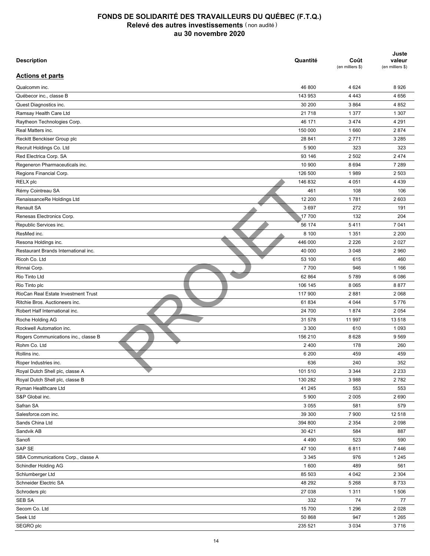| <b>Description</b>                   | Quantité           | Coût<br>(en milliers \$) | Juste<br>valeur<br>(en milliers \$) |
|--------------------------------------|--------------------|--------------------------|-------------------------------------|
| <b>Actions et parts</b>              |                    |                          |                                     |
| Qualcomm inc.                        | 46 800             | 4 6 24                   | 8926                                |
| Québecor inc., classe B              | 143 953            | 4 4 4 3                  | 4656                                |
| Quest Diagnostics inc.               | 30 200             | 3864                     | 4 8 5 2                             |
| Ramsay Health Care Ltd               | 21 7 18            | 1 3 7 7                  | 1 3 0 7                             |
| Raytheon Technologies Corp.          | 46 171             | 3 4 7 4                  | 4 2 9 1                             |
| Real Matters inc.                    | 150 000            | 1660                     | 2874                                |
| Reckitt Benckiser Group plc          | 28 841             | 2 7 7 1                  | 3 2 8 5                             |
| Recruit Holdings Co. Ltd             | 5 9 0 0            | 323                      | 323                                 |
| Red Electrica Corp. SA               | 93 146             | 2 5 0 2                  | 2 4 7 4                             |
| Regeneron Pharmaceuticals inc.       | 10 900             | 8694                     | 7 2 8 9                             |
| Regions Financial Corp.              | 126 500            | 1989                     | 2 5 0 3                             |
| RELX plc                             | 146 832            | 4 0 5 1                  | 4 4 3 9                             |
| Rémy Cointreau SA                    | 461                | 108                      | 106                                 |
| RenaissanceRe Holdings Ltd           | 12 200             | 1781                     | 2 603                               |
| <b>Renault SA</b>                    | 3697               | 272                      | 191                                 |
| Renesas Electronics Corp.            | 17 700             | 132                      | 204                                 |
| Republic Services inc.               | 56 174             | 5411                     | 7 0 4 1                             |
| ResMed inc.                          | 8 100              | 1 3 5 1                  | 2 2 0 0                             |
| Resona Holdings inc.                 | 446 000            | 2 2 2 6                  | 2 0 2 7                             |
| Restaurant Brands International inc. | 40 000             | 3 0 4 8                  | 2 9 6 0                             |
| Ricoh Co. Ltd                        | 53 100             | 615                      | 460                                 |
| Rinnai Corp.                         | 7700               | 946                      | 1 1 6 6                             |
| Rio Tinto Ltd                        | 62 864             | 5789                     | 6086                                |
| Rio Tinto plc                        | 106 145            | 8 0 6 5                  | 8877                                |
| RioCan Real Estate Investment Trust  | 117 900            | 2881                     | 2 0 6 8                             |
| Ritchie Bros. Auctioneers inc.       | 61834              | 4 0 4 4                  | 5776                                |
| Robert Half International inc.       | 24 700             | 1874                     | 2 0 5 4                             |
|                                      |                    |                          |                                     |
| Roche Holding AG                     | 31 578             | 11 997                   | 13518                               |
| Rockwell Automation inc.             | 3 3 0 0<br>156 210 | 610                      | 1 0 9 3                             |
| Rogers Communications inc., classe B |                    | 8628                     | 9569                                |
| Rohm Co. Ltd                         | 2 4 0 0            | 178                      | 260                                 |
| Rollins inc.                         | 6 200              | 459                      | 459                                 |
| Roper Industries inc.                | 636                | 240                      | 352                                 |
| Royal Dutch Shell plc, classe A      | 101 510            | 3 3 4 4                  | 2 2 3 3                             |
| Royal Dutch Shell plc, classe B      | 130 282            | 3988                     | 2782                                |
| Ryman Healthcare Ltd                 | 41 245             | 553                      | 553                                 |
| S&P Global inc.                      | 5 9 0 0            | 2 0 0 5                  | 2690                                |
| Safran SA                            | 3 0 5 5            | 581                      | 579                                 |
| Salesforce.com inc.                  | 39 300             | 7 900                    | 12 518                              |
| Sands China Ltd                      | 394 800            | 2 3 5 4                  | 2 0 9 8                             |
| Sandvik AB                           | 30 4 21            | 584                      | 887                                 |
| Sanofi                               | 4 4 9 0            | 523                      | 590                                 |
| SAP SE                               | 47 100             | 6811                     | 7446                                |
| SBA Communications Corp., classe A   | 3 3 4 5            | 976                      | 1 2 4 5                             |
| Schindler Holding AG                 | 1 600              | 489                      | 561                                 |
| Schlumberger Ltd                     | 85 503             | 4 0 4 2                  | 2 3 0 4                             |
| Schneider Electric SA                | 48 29 2            | 5 2 6 8                  | 8733                                |
| Schroders plc                        | 27 038             | 1311                     | 1506                                |
| SEB SA                               | 332                | 74                       | 77                                  |
| Secom Co. Ltd                        | 15 700             | 1 2 9 6                  | 2028                                |
| Seek Ltd                             | 50 868             | 947                      | 1 2 6 5                             |
| SEGRO plc                            | 235 521            | 3 0 3 4                  | 3716                                |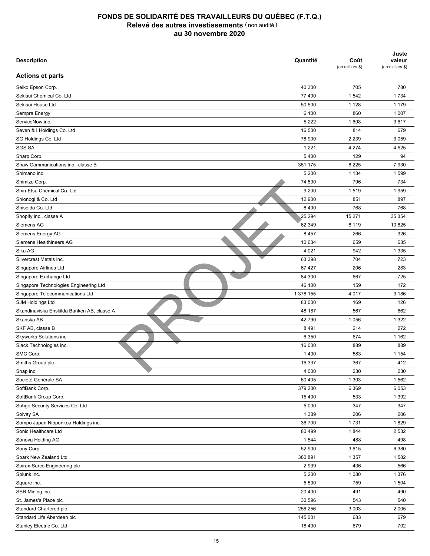| <b>Description</b>                         | Quantité  | Coût<br>(en milliers \$) | Juste<br>valeur<br>(en milliers \$) |
|--------------------------------------------|-----------|--------------------------|-------------------------------------|
| <b>Actions et parts</b>                    |           |                          |                                     |
| Seiko Epson Corp.                          | 40 300    | 705                      | 780                                 |
| Sekisui Chemical Co. Ltd                   | 77 400    | 1542                     | 1 7 3 4                             |
| Sekisui House Ltd                          | 50 500    | 1 1 2 8                  | 1 1 7 9                             |
| Sempra Energy                              | 6 100     | 860                      | 1 0 0 7                             |
| ServiceNow inc.                            | 5 2 2 2   | 1 608                    | 3617                                |
| Seven & I Holdings Co. Ltd                 | 16 500    | 814                      | 679                                 |
| SG Holdings Co. Ltd                        | 78 900    | 2 2 3 9                  | 3 0 5 9                             |
| <b>SGS SA</b>                              | 1 2 2 1   | 4 2 7 4                  | 4 5 2 5                             |
| Sharp Corp.                                | 5400      | 129                      | 94                                  |
| Shaw Communications inc., classe B         | 351 175   | 8 2 2 5                  | 7930                                |
| Shimano inc.                               | 5 200     | 1 1 3 4                  | 1599                                |
| Shimizu Corp.                              | 74 500    | 796                      | 734                                 |
| Shin-Etsu Chemical Co. Ltd                 | 9 2 0 0   | 1519                     | 1959                                |
| Shionogi & Co. Ltd                         | 12 900    | 851                      | 897                                 |
| Shiseido Co. Ltd                           | 8 4 0 0   | 768                      | 768                                 |
| Shopify inc., classe A                     | 25 294    | 15 271                   | 35 354                              |
| Siemens AG                                 | 62 349    | 8 1 1 9                  | 10 825                              |
| Siemens Energy AG                          | 8 4 5 7   | 266                      | 326                                 |
| Siemens Healthineers AG                    | 10 634    | 659                      | 635                                 |
| Sika AG                                    | 4 0 21    | 942                      | 1 3 3 5                             |
| Silvercrest Metals inc.                    | 63 398    | 704                      | 723                                 |
| Singapore Airlines Ltd                     | 67 427    | 206                      | 283                                 |
| Singapore Exchange Ltd                     | 84 300    | 667                      | 725                                 |
| Singapore Technologies Engineering Ltd     | 46 100    | 159                      | 172                                 |
| Singapore Telecommunications Ltd           | 1 378 155 | 4 0 1 7                  | 3 186                               |
| <b>SJM Holdings Ltd</b>                    | 83 000    | 169                      | 126                                 |
| Skandinaviska Enskilda Banken AB, classe A | 48 187    | 567                      | 662                                 |
| Skanska AB                                 | 42 790    | 1 0 5 6                  | 1 3 2 2                             |
| SKF AB, classe B                           | 8 4 9 1   | 214                      | 272                                 |
| Skyworks Solutions inc.                    | 6 3 5 0   | 674                      | 1 1 6 2                             |
| Slack Technologies inc.                    | 16 000    | 889                      | 889                                 |
| SMC Corp.                                  | 1 4 0 0   | 583                      | 1 1 5 4                             |
| Smiths Group plc                           | 16 337    | 367                      | 412                                 |
| Snap inc.                                  | 4 0 0 0   | 230                      | 230                                 |
| Société Générale SA                        | 60 40 5   | 1 3 0 3                  | 1562                                |
| SoftBank Corp.                             | 379 200   | 6 3 6 9                  | 6 0 5 3                             |
| SoftBank Group Corp.                       | 15 400    |                          | 1 3 9 2                             |
| Sohgo Security Services Co. Ltd            | 5 0 0 0   | 533<br>347               | 347                                 |
|                                            |           |                          |                                     |
| Solvay SA                                  | 1 3 8 9   | 206                      | 206                                 |
| Sompo Japan Nipponkoa Holdings inc.        | 36 700    | 1731                     | 1829                                |
| Sonic Healthcare Ltd                       | 80 499    | 1844                     | 2 5 3 2                             |
| Sonova Holding AG                          | 1 544     | 488                      | 498                                 |
| Sony Corp.                                 | 52 900    | 3615                     | 6 3 8 0                             |
| Spark New Zealand Ltd                      | 380 891   | 1 3 5 7                  | 1582                                |
| Spirax-Sarco Engineering plc               | 2939      | 436                      | 566                                 |
| Splunk inc.                                | 5 200     | 1 0 8 0                  | 1 3 7 6                             |
| Square inc.                                | 5 500     | 759                      | 1 504                               |
| SSR Mining inc.                            | 20 400    | 491                      | 490                                 |
| St. James's Place plc                      | 30 596    | 543                      | 540                                 |
| Standard Chartered plc                     | 256 256   | 3 0 0 3                  | 2 0 0 5                             |
| Standard Life Aberdeen plc                 | 145 001   | 683                      | 679                                 |
| Stanley Electric Co. Ltd                   | 18 400    | 679                      | 702                                 |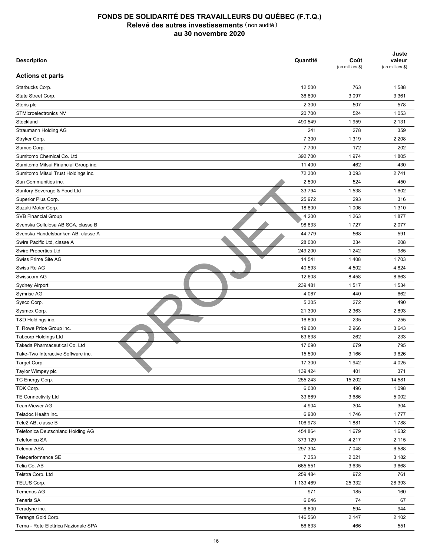| <b>Description</b>                   | Quantité  | Coût<br>(en milliers \$) | Juste<br>valeur<br>(en milliers \$) |
|--------------------------------------|-----------|--------------------------|-------------------------------------|
| <b>Actions et parts</b>              |           |                          |                                     |
| Starbucks Corp.                      | 12 500    | 763                      | 1588                                |
| State Street Corp.                   | 36 800    | 3 0 9 7                  | 3 3 6 1                             |
| Steris plc                           | 2 3 0 0   | 507                      | 578                                 |
| STMicroelectronics NV                | 20 700    | 524                      | 1 0 5 3                             |
| Stockland                            | 490 549   | 1959                     | 2 1 3 1                             |
| Straumann Holding AG                 | 241       | 278                      | 359                                 |
| Stryker Corp.                        | 7 300     | 1 3 1 9                  | 2 2 0 8                             |
| Sumco Corp.                          | 7700      | 172                      | 202                                 |
| Sumitomo Chemical Co. Ltd            | 392 700   | 1974                     | 1805                                |
| Sumitomo Mitsui Financial Group inc. | 11 400    | 462                      | 430                                 |
| Sumitomo Mitsui Trust Holdings inc.  | 72 300    | 3 0 9 3                  | 2741                                |
| Sun Communities inc.                 | 2 500     | 524                      | 450                                 |
| Suntory Beverage & Food Ltd          | 33 794    |                          | 1 602                               |
|                                      | 25 972    | 1538<br>293              | 316                                 |
| Superior Plus Corp.                  |           |                          |                                     |
| Suzuki Motor Corp.                   | 18 800    | 1 0 0 6                  | 1 3 1 0                             |
| <b>SVB Financial Group</b>           | 4 200     | 1 2 6 3                  | 1877                                |
| Svenska Cellulosa AB SCA, classe B   | 98 833    | 1727                     | 2077                                |
| Svenska Handelsbanken AB, classe A   | 44 779    | 568                      | 591                                 |
| Swire Pacific Ltd. classe A          | 28 000    | 334                      | 208                                 |
| <b>Swire Properties Ltd</b>          | 249 200   | 1 2 4 2                  | 985                                 |
| Swiss Prime Site AG                  | 14 541    | 1 4 0 8                  | 1703                                |
| Swiss Re AG                          | 40 593    | 4 502                    | 4 8 24                              |
| Swisscom AG                          | 12 608    | 8 4 5 8                  | 8 6 6 3                             |
| <b>Sydney Airport</b>                | 239 481   | 1517                     | 1 5 3 4                             |
| Symrise AG                           | 4 0 6 7   | 440                      | 662                                 |
| Sysco Corp.                          | 5 3 0 5   | 272                      | 490                                 |
| Sysmex Corp.                         | 21 300    | 2 3 6 3                  | 2893                                |
| T&D Holdings inc.                    | 16 800    | 235                      | 255                                 |
| T. Rowe Price Group inc.             | 19 600    | 2966                     | 3643                                |
| <b>Tabcorp Holdings Ltd</b>          | 63 638    | 262                      | 233                                 |
| Takeda Pharmaceutical Co. Ltd        | 17 090    | 679                      | 795                                 |
| Take-Two Interactive Software inc.   | 15 500    | 3 1 6 6                  | 3 6 2 6                             |
| Target Corp.                         | 17 300    | 1942                     | 4 0 25                              |
| Taylor Wimpey plc                    | 139 424   | 401                      | 371                                 |
| TC Energy Corp.                      | 255 243   | 15 20 2                  | 14 581                              |
| TDK Corp.                            | 6 0 0 0   | 496                      | 1 0 9 8                             |
| <b>TE Connectivity Ltd</b>           | 33 869    | 3686                     | 5 0 0 2                             |
| TeamViewer AG                        | 4 9 0 4   | 304                      | 304                                 |
| Teladoc Health inc.                  | 6 900     | 1746                     | 1777                                |
| Tele2 AB, classe B                   | 106 973   | 1881                     | 1788                                |
| Telefonica Deutschland Holding AG    | 454 864   | 1679                     | 1632                                |
| Telefonica SA                        | 373 129   | 4 2 1 7                  | 2 1 1 5                             |
| <b>Telenor ASA</b>                   | 297 304   | 7 0 4 8                  | 6588                                |
| Teleperformance SE                   | 7 3 5 3   | 2 0 2 1                  | 3 1 8 2                             |
| Telia Co. AB                         | 665 551   | 3635                     | 3668                                |
| Telstra Corp. Ltd                    | 259 484   | 972                      | 761                                 |
| TELUS Corp.                          | 1 133 469 | 25 332                   | 28 393                              |
| Temenos AG                           | 971       | 185                      | 160                                 |
| Tenaris SA                           | 6646      | 74                       | 67                                  |
| Teradyne inc.                        | 6 600     | 594                      | 944                                 |
| Teranga Gold Corp.                   | 146 560   | 2 147                    | 2 102                               |
| Terna - Rete Elettrica Nazionale SPA | 56 633    | 466                      | 551                                 |
|                                      |           |                          |                                     |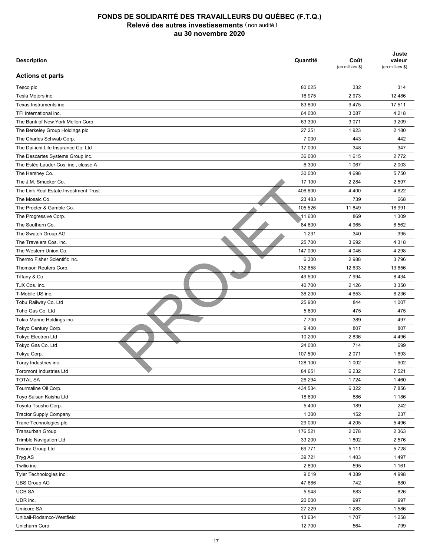| <b>Description</b>                    | Quantité | Coût<br>(en milliers \$) | Juste<br>valeur<br>(en milliers \$) |
|---------------------------------------|----------|--------------------------|-------------------------------------|
| <b>Actions et parts</b>               |          |                          |                                     |
| Tesco plc                             | 80 0 25  | 332                      | 314                                 |
| Tesla Motors inc.                     | 16 975   | 2973                     | 12 4 8 6                            |
| Texas Instruments inc.                | 83 800   | 9475                     | 17511                               |
| TFI International inc.                | 64 000   | 3 0 8 7                  | 4 2 1 8                             |
| The Bank of New York Mellon Corp.     | 63 300   | 3 0 7 1                  | 3 2 0 9                             |
| The Berkeley Group Holdings plc       | 27 251   | 1923                     | 2 180                               |
| The Charles Schwab Corp.              | 7 0 0 0  | 443                      | 442                                 |
| The Dai-ichi Life Insurance Co. Ltd   | 17 000   | 348                      | 347                                 |
| The Descartes Systems Group inc.      | 36 000   | 1615                     | 2772                                |
| The Estée Lauder Cos. inc., classe A  | 6 300    | 1 0 6 7                  | 2 0 0 3                             |
| The Hershey Co.                       | 30 000   | 4 6 9 8                  | 5750                                |
|                                       | 17 100   |                          |                                     |
| The J.M. Smucker Co.                  |          | 2 2 8 4                  | 2 5 9 7                             |
| The Link Real Estate Investment Trust | 406 600  | 4 4 0 0                  | 4 6 22                              |
| The Mosaic Co.                        | 23 4 83  | 739                      | 668                                 |
| The Procter & Gamble Co.              | 105 526  | 11 849                   | 18 991                              |
| The Progressive Corp.                 | 11 600   | 869                      | 1 3 0 9                             |
| The Southern Co.                      | 84 600   | 4 9 6 5                  | 6 5 6 2                             |
| The Swatch Group AG                   | 1 2 3 1  | 340                      | 395                                 |
| The Travelers Cos. inc.               | 25 700   | 3692                     | 4 3 1 8                             |
| The Western Union Co.                 | 147 000  | 4 0 4 6                  | 4 2 9 8                             |
| Thermo Fisher Scientific inc.         | 6 300    | 2988                     | 3796                                |
| Thomson Reuters Corp.                 | 132 658  | 12 633                   | 13 656                              |
| Tiffany & Co.                         | 49 500   | 7 9 9 4                  | 8 4 3 4                             |
| TJX Cos. inc.                         | 40 700   | 2 1 2 6                  | 3 3 5 0                             |
| T-Mobile US inc.                      | 36 200   | 4 6 5 3                  | 6 2 3 6                             |
| Tobu Railway Co. Ltd                  | 25 900   | 844                      | 1 0 0 7                             |
| Toho Gas Co. Ltd                      | 5 600    | 475                      | 475                                 |
| Tokio Marine Holdings inc.            | 7700     | 389                      | 497                                 |
| Tokyo Century Corp.                   | 9400     | 807                      | 807                                 |
| <b>Tokyo Electron Ltd</b>             | 10 200   | 2836                     | 4 4 9 6                             |
| Tokyo Gas Co. Ltd                     | 24 000   | 714                      | 699                                 |
| Tokyu Corp.                           | 107 500  | 2 0 7 1                  | 1693                                |
| Toray Industries inc.                 | 128 100  | 1 0 0 2                  | 902                                 |
| <b>Toromont Industries Ltd</b>        | 84 651   | 6 2 3 2                  | 7 5 21                              |
| <b>TOTAL SA</b>                       | 26 294   | 1724                     | 1 4 6 0                             |
| Tourmaline Oil Corp.                  | 434 534  | 6 3 2 2                  | 7856                                |
| Toyo Suisan Kaisha Ltd                | 18 600   | 886                      | 1 1 8 6                             |
| Toyota Tsusho Corp.                   | 5 4 0 0  | 189                      | 242                                 |
| <b>Tractor Supply Company</b>         | 1 300    | 152                      | 237                                 |
|                                       |          |                          |                                     |
| Trane Technologies plc                | 29 000   | 4 205                    | 5496                                |
| Transurban Group                      | 176 521  | 2078                     | 2 3 6 3                             |
| <b>Trimble Navigation Ltd</b>         | 33 200   | 1802                     | 2576                                |
| Trisura Group Ltd                     | 69 771   | 5 1 1 1                  | 5728                                |
| Tryg AS                               | 39 7 21  | 1 4 0 3                  | 1497                                |
| Twilio inc.                           | 2 800    | 595                      | 1 1 6 1                             |
| Tyler Technologies inc.               | 9019     | 4 3 8 9                  | 4 9 9 8                             |
| <b>UBS Group AG</b>                   | 47 686   | 742                      | 880                                 |
| <b>UCB SA</b>                         | 5948     | 683                      | 826                                 |
| UDR inc.                              | 20 000   | 997                      | 997                                 |
| Umicore SA                            | 27 229   | 1 2 8 3                  | 1586                                |
| Unibail-Rodamco-Westfield             | 13 634   | 1707                     | 1 2 5 8                             |
| Unicharm Corp.                        | 12 700   | 564                      | 799                                 |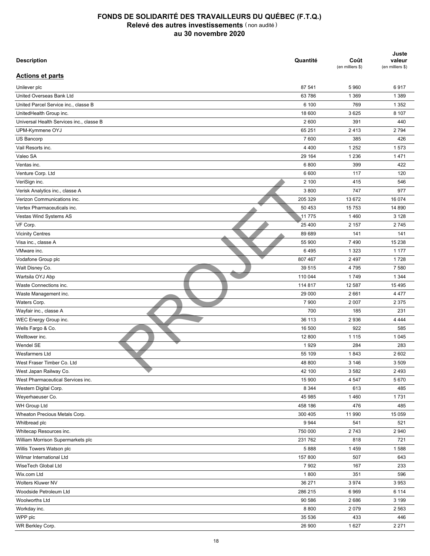| <b>Description</b>                       | Quantité       | Coût<br>(en milliers \$) | Juste<br>valeur<br>(en milliers \$) |
|------------------------------------------|----------------|--------------------------|-------------------------------------|
| <b>Actions et parts</b>                  |                |                          |                                     |
| Unilever plc                             | 87 541         | 5 9 6 0                  | 6917                                |
| United Overseas Bank Ltd                 | 63 786         | 1 3 6 9                  | 1 3 8 9                             |
| United Parcel Service inc., classe B     | 6 100          | 769                      | 1 3 5 2                             |
| UnitedHealth Group inc.                  | 18 600         | 3 6 2 5                  | 8 107                               |
| Universal Health Services inc., classe B | 2 600          | 391                      | 440                                 |
| UPM-Kymmene OYJ                          | 65 251         | 2413                     | 2794                                |
| US Bancorp                               | 7600           | 385                      | 426                                 |
| Vail Resorts inc.                        | 4 4 0 0        | 1 2 5 2                  | 1573                                |
| Valeo SA                                 | 29 164         | 1 2 3 6                  | 1471                                |
| Ventas inc.                              | 6800           | 399                      | 422                                 |
| Venture Corp. Ltd                        | 6 600          | 117                      | 120                                 |
| VeriSign inc.                            | 2 100          | 415                      | 546                                 |
| Verisk Analytics inc., classe A          | 3800           | 747                      | 977                                 |
| Verizon Communications inc.              | 205 329        | 13 672                   | 16 074                              |
| Vertex Pharmaceuticals inc.              | 50 453         | 15 7 53                  | 14 890                              |
| Vestas Wind Systems AS                   | 11 775         | 1460                     | 3 1 2 8                             |
| VF Corp.                                 | 25 400         | 2 1 5 7                  | 2745                                |
| <b>Vicinity Centres</b>                  | 89 689         | 141                      | 141                                 |
| Visa inc., classe A                      | 55 900         | 7490                     | 15 238                              |
| VMware inc.                              | 6495           | 1 3 2 3                  | 1 1 7 7                             |
| Vodafone Group plc                       | 807 467        | 2 4 9 7                  | 1728                                |
| Walt Disney Co.                          | 39 515         | 4795                     | 7 5 8 0                             |
| Wartsila OYJ Abp                         | 110 044        | 1749                     | 1 3 4 4                             |
| Waste Connections inc.                   | 114 817        | 12 587                   | 15 4 95                             |
| Waste Management inc.                    | 29 000         | 2661                     | 4 4 7 7                             |
| Waters Corp.                             | 7 900          | 2 0 0 7                  | 2 3 7 5                             |
| Wayfair inc., classe A                   | 700            | 185                      | 231                                 |
| WEC Energy Group inc.                    | 36 113         | 2936                     | 4 4 4 4                             |
| Wells Fargo & Co.                        | 16 500         | 922                      | 585                                 |
| Welltower inc.                           | 12 800         | 1 1 1 5                  | 1 0 4 5                             |
| Wendel SE                                | 1929           | 284                      | 283                                 |
| <b>Wesfarmers Ltd</b>                    | 55 109         | 1843                     | 2 6 0 2                             |
| West Fraser Timber Co. Ltd               | 48 800         | 3 1 4 6                  | 3 5 0 9                             |
| West Japan Railway Co.                   | 42 100         | 3582                     | 2 4 9 3                             |
| West Pharmaceutical Services inc.        | 15 900         | 4 5 4 7                  | 5670                                |
| Western Digital Corp.                    | 8 3 4 4        | 613                      | 485                                 |
| Weyerhaeuser Co.                         | 45 985         | 1460                     | 1731                                |
| WH Group Ltd                             | 458 186        | 476                      | 485                                 |
| Wheaton Precious Metals Corp.            | 300 405        | 11 990                   | 15 0 59                             |
| Whitbread plc                            | 9944           | 541                      | 521                                 |
| Whitecap Resources inc.                  | 750 000        | 2743                     | 2 9 4 0                             |
| William Morrison Supermarkets plc        | 231 762        | 818                      | 721                                 |
| Willis Towers Watson plc                 | 5888           | 1459                     | 1588                                |
| Wilmar International Ltd                 | 157 800        | 507                      | 643                                 |
| WiseTech Global Ltd                      | 7 9 0 2        | 167                      | 233                                 |
| Wix.com Ltd                              |                |                          | 596                                 |
| Wolters Kluwer NV                        | 1800<br>36 271 | 351<br>3974              | 3953                                |
|                                          |                |                          |                                     |
| Woodside Petroleum Ltd                   | 286 215        | 6969                     | 6 1 1 4                             |
| Woolworths Ltd                           | 90 586         | 2686                     | 3 1 9 9                             |
| Workday inc.                             | 8 8 0 0        | 2079                     | 2 5 6 3                             |
| WPP plc                                  | 35 536         | 433                      | 446                                 |
| WR Berkley Corp.                         | 26 900         | 1 6 2 7                  | 2 2 7 1                             |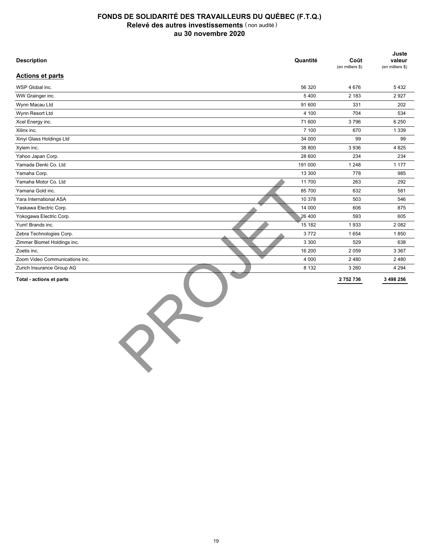| <b>Description</b>             | Quantité | Coût<br>(en milliers \$) | Juste<br>valeur<br>(en milliers \$) |
|--------------------------------|----------|--------------------------|-------------------------------------|
| <b>Actions et parts</b>        |          |                          |                                     |
| WSP Global inc.                | 56 320   | 4676                     | 5432                                |
| WW Grainger inc.               | 5400     | 2 1 8 3                  | 2927                                |
| Wynn Macau Ltd                 | 91 600   | 331                      | 202                                 |
| Wynn Resort Ltd                | 4 100    | 704                      | 534                                 |
| Xcel Energy inc.               | 71 600   | 3796                     | 6 2 5 0                             |
| Xilinx inc.                    | 7 100    | 670                      | 1 3 3 9                             |
| Xinyi Glass Holdings Ltd       | 34 000   | 99                       | 99                                  |
| Xylem inc.                     | 38 800   | 3936                     | 4 8 2 5                             |
| Yahoo Japan Corp.              | 28 600   | 234                      | 234                                 |
| Yamada Denki Co. Ltd           | 191 000  | 1 2 4 8                  | 1 1 7 7                             |
| Yamaha Corp.                   | 13 300   | 778                      | 985                                 |
| Yamaha Motor Co. Ltd           | 11 700   | 263                      | 292                                 |
| Yamana Gold inc.               | 85 700   | 632                      | 581                                 |
| Yara International ASA         | 10 378   | 503                      | 546                                 |
| Yaskawa Electric Corp.         | 14 000   | 606                      | 875                                 |
| Yokogawa Electric Corp.        | 26 400   | 593                      | 605                                 |
| Yum! Brands inc.               | 15 182   | 1933                     | 2082                                |
| Zebra Technologies Corp.       | 3772     | 1 6 5 4                  | 1850                                |
| Zimmer Biomet Holdings inc.    | 3 3 0 0  | 529                      | 638                                 |
| Zoetis inc.                    | 16 200   | 2 0 5 9                  | 3 3 6 7                             |
| Zoom Video Communications inc. | 4 0 0 0  | 2480                     | 2 4 8 0                             |
| Zurich Insurance Group AG      | 8 1 3 2  | 3 2 6 0                  | 4 2 9 4                             |
| Total - actions et parts       |          | 2752736                  | 3 498 256                           |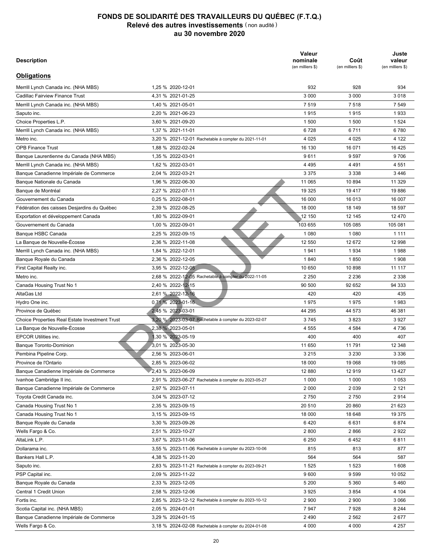| <b>Description</b>                             |                                                      | Valeur<br>nominale<br>(en milliers \$) | Coût<br>(en milliers \$) | Juste<br>valeur<br>(en milliers \$) |
|------------------------------------------------|------------------------------------------------------|----------------------------------------|--------------------------|-------------------------------------|
| <b>Obligations</b>                             |                                                      |                                        |                          |                                     |
| Merrill Lynch Canada inc. (NHA MBS)            | 1.25 % 2020-12-01                                    | 932                                    | 928                      | 934                                 |
| Cadillac Fairview Finance Trust                | 4,31 % 2021-01-25                                    | 3 0 0 0                                | 3 0 0 0                  | 3018                                |
| Merrill Lynch Canada inc. (NHA MBS)            | 1,40 % 2021-05-01                                    | 7519                                   | 7518                     | 7 5 4 9                             |
| Saputo inc.                                    | 2,20 % 2021-06-23                                    | 1915                                   | 1915                     | 1933                                |
| Choice Properties L.P.                         | 3,60 % 2021-09-20                                    | 1 500                                  | 1 500                    | 1 5 2 4                             |
| Merrill Lynch Canada inc. (NHA MBS)            | 1,37 % 2021-11-01                                    | 6728                                   | 6711                     | 6780                                |
| Metro inc.                                     | 3.20 % 2021-12-01 Rachetable à compter du 2021-11-01 | 4 0 2 5                                | 4 0 2 5                  | 4 1 2 2                             |
| <b>OPB Finance Trust</b>                       | 1,88 % 2022-02-24                                    | 16 130                                 | 16 071                   | 16 4 25                             |
| Banque Laurentienne du Canada (NHA MBS)        | 1,35 % 2022-03-01                                    | 9611                                   | 9597                     | 9706                                |
| Merrill Lynch Canada inc. (NHA MBS)            | 1,62 % 2022-03-01                                    | 4 4 9 5                                | 4 4 9 1                  | 4 5 5 1                             |
| Banque Canadienne Impériale de Commerce        | 2,04 % 2022-03-21                                    | 3 3 7 5                                | 3 3 3 8                  | 3446                                |
| Banque Nationale du Canada                     | 1,96 % 2022-06-30                                    | 11 065                                 | 10 894                   | 11 329                              |
| Bangue de Montréal                             | 2.27 % 2022-07-11                                    | 19 3 25                                | 19417                    | 19886                               |
| Gouvernement du Canada                         | 0.25 % 2022-08-01                                    | 16 000                                 | 16 013                   | 16 007                              |
| Fédération des caisses Desjardins du Québec    | 2,39 % 2022-08-25                                    | 18 000                                 | 18 149                   | 18 597                              |
| Exportation et développement Canada            | 1,80 % 2022-09-01                                    | 12 150                                 | 12 145                   | 12 470                              |
| Gouvernement du Canada                         | 1,00 % 2022-09-01                                    | 103 655                                | 105 085                  | 105 081                             |
| Banque HSBC Canada                             | 2,25 % 2022-09-15                                    | 1 0 8 0                                | 1 0 8 0                  | 1 1 1 1                             |
| La Banque de Nouvelle-Écosse                   | 2.36 % 2022-11-08                                    | 12 550                                 | 12 672                   | 12 998                              |
|                                                |                                                      | 1941                                   | 1934                     | 1988                                |
| Merrill Lynch Canada inc. (NHA MBS)            | 1,84 % 2022-12-01                                    |                                        | 1850                     | 1908                                |
| Banque Royale du Canada                        | 2,36 % 2022-12-05                                    | 1840                                   |                          |                                     |
| First Capital Realty inc.                      | 3,95 % 2022-12-05                                    | 10 650                                 | 10898                    | 11 117                              |
| Metro inc.                                     | 2,68 % 2022-12-05 Rachetable à compter du 2022-11-05 | 2 2 5 0                                | 2 2 3 6                  | 2 3 3 8                             |
| Canada Housing Trust No 1                      | 2,40 % 2022-12-15                                    | 90 500                                 | 92 652                   | 94 333                              |
| AltaGas Ltd                                    | 2,61 % 2022-12-16                                    | 420                                    | 420                      | 435                                 |
| Hydro One inc.                                 | 0.71 % 2023-01-16                                    | 1975                                   | 1975                     | 1983                                |
| Province de Québec                             | 2,45 % 2023-03-01                                    | 44 295                                 | 44 573                   | 46 381                              |
| Choice Properties Real Estate Investment Trust | 3,20 % 2023-03-07 Rachetable à compter du 2023-02-07 | 3745                                   | 3823                     | 3927                                |
| La Banque de Nouvelle-Écosse                   | 2,38 % 2023-05-01                                    | 4 5 5 5                                | 4 5 8 4                  | 4736                                |
| <b>EPCOR Utilities inc.</b>                    | 1,30 % 2023-05-19                                    | 400                                    | 400                      | 407                                 |
| <b>Banque Toronto-Dominion</b>                 | 3.01 % 2023-05-30                                    | 11 650                                 | 11791                    | 12 348                              |
| Pembina Pipeline Corp.                         | 2,56 % 2023-06-01                                    | 3 2 1 5                                | 3 2 3 0                  | 3 3 3 6                             |
| Province de l'Ontario                          | 2,85 % 2023-06-02                                    | 18 000                                 | 19 068                   | 19 085                              |
| Banque Canadienne Impériale de Commerce        | 2,43 % 2023-06-09                                    | 12 880                                 | 12919                    | 13 4 27                             |
| Ivanhoe Cambridge II inc.                      | 2,91 % 2023-06-27 Rachetable à compter du 2023-05-27 | 1 0 0 0                                | 1 0 0 0                  | 1 0 5 3                             |
| Banque Canadienne Impériale de Commerce        | 2,97 % 2023-07-11                                    | 2 0 0 0                                | 2 0 3 9                  | 2 1 2 1                             |
| Toyota Credit Canada inc.                      | 3,04 % 2023-07-12                                    | 2750                                   | 2750                     | 2914                                |
| Canada Housing Trust No 1                      | 2,35 % 2023-09-15                                    | 20 510                                 | 20 860                   | 21 623                              |
| Canada Housing Trust No 1                      | 3,15 % 2023-09-15                                    | 18 000                                 | 18 648                   | 19 375                              |
| Banque Royale du Canada                        | 3,30 % 2023-09-26                                    | 6420                                   | 6631                     | 6874                                |
| Wells Fargo & Co.                              | 2,51 % 2023-10-27                                    | 2800                                   | 2866                     | 2922                                |
| AltaLink L.P.                                  | 3,67 % 2023-11-06                                    | 6 2 5 0                                | 6452                     | 6811                                |
| Dollarama inc.                                 | 3,55 % 2023-11-06 Rachetable à compter du 2023-10-06 | 815                                    | 813                      | 877                                 |
| Bankers Hall L.P.                              | 4,38 % 2023-11-20                                    | 564                                    | 564                      | 587                                 |
| Saputo inc.                                    | 2,83 % 2023-11-21 Rachetable à compter du 2023-09-21 | 1525                                   | 1 5 2 3                  | 1608                                |
| PSP Capital inc.                               | 2,09 % 2023-11-22                                    | 9600                                   | 9599                     | 10 052                              |
| Banque Royale du Canada                        | 2,33 % 2023-12-05                                    | 5 200                                  | 5 3 6 0                  | 5460                                |
| Central 1 Credit Union                         | 2,58 % 2023-12-06                                    | 3925                                   | 3854                     | 4 104                               |
| Fortis inc.                                    | 2,85 % 2023-12-12 Rachetable à compter du 2023-10-12 | 2 9 0 0                                | 2 900                    | 3 0 6 6                             |
| Scotia Capital inc. (NHA MBS)                  | 2,05 % 2024-01-01                                    | 7947                                   | 7928                     | 8 2 4 4                             |
| Banque Canadienne Impériale de Commerce        | 3,29 % 2024-01-15                                    | 2490                                   | 2 5 6 2                  | 2677                                |
| Wells Fargo & Co.                              | 3,18 % 2024-02-08 Rachetable à compter du 2024-01-08 | 4 0 0 0                                | 4 0 0 0                  | 4 257                               |
|                                                |                                                      |                                        |                          |                                     |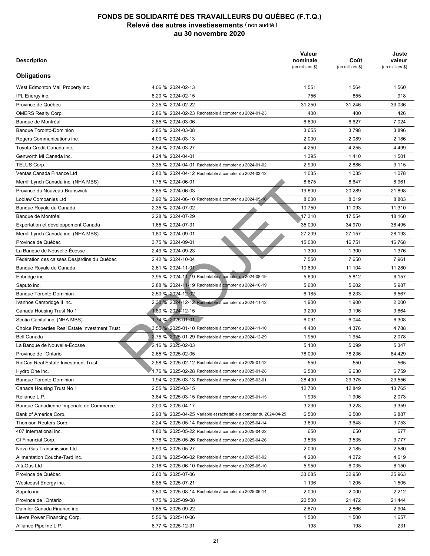| <b>Description</b>                                    |                                                                  | Valeur<br>nominale<br>(en milliers \$) | Coût<br>(en milliers \$) | Juste<br>valeur<br>(en milliers \$) |
|-------------------------------------------------------|------------------------------------------------------------------|----------------------------------------|--------------------------|-------------------------------------|
| <b>Obligations</b>                                    |                                                                  |                                        |                          |                                     |
| West Edmonton Mall Property inc.                      | 4,06 % 2024-02-13                                                | 1 5 5 1                                | 1 5 6 4                  | 1560                                |
| IPL Energy inc.                                       | 8,20 % 2024-02-15                                                | 756                                    | 855                      | 918                                 |
| Province de Québec                                    | 2,25 % 2024-02-22                                                | 31 250                                 | 31 246                   | 33 036                              |
| <b>OMERS Realty Corp.</b>                             | 2,86 % 2024-02-23 Rachetable à compter du 2024-01-23             | 400                                    | 400                      | 426                                 |
| Banque de Montréal                                    | 2,85 % 2024-03-06                                                | 6 600                                  | 6627                     | 7 0 24                              |
| <b>Banque Toronto-Dominion</b>                        | 2,85 % 2024-03-08                                                | 3655                                   | 3798                     | 3896                                |
| Rogers Communications inc.                            | 4,00 % 2024-03-13                                                | 2 0 0 0                                | 2 0 8 9                  | 2 186                               |
| Toyota Credit Canada inc.                             | 2,64 % 2024-03-27                                                | 4 2 5 0                                | 4 2 5 5                  | 4 4 9 9                             |
| Genworth MI Canada inc.                               | 4,24 % 2024-04-01                                                | 1 3 9 5                                | 1410                     | 1501                                |
| TELUS Corp.                                           | 3,35 % 2024-04-01 Rachetable à compter du 2024-01-02             | 2 9 0 0                                | 2886                     | 3 1 1 5                             |
| Ventas Canada Finance Ltd                             | 2,80 % 2024-04-12 Rachetable à compter du 2024-03-12             | 1 0 3 5                                | 1 0 3 5                  | 1078                                |
| Merrill Lynch Canada inc. (NHA MBS)                   | 1,75 % 2024-06-01                                                | 8675                                   | 8647                     | 8 9 6 1                             |
| Province du Nouveau-Brunswick                         | 3.65 % 2024-06-03                                                | 19 800                                 | 20 289                   | 21 898                              |
| Loblaw Companies Ltd                                  | 3,92 % 2024-06-10 Rachetable à compter du 2024-05-10             | 8 0 0 0                                | 8019                     | 8 8 0 3                             |
| Banque Royale du Canada                               | 2,35 % 2024-07-02                                                | 10 750                                 | 11 093                   | 11 310                              |
| Banque de Montréal                                    | 2,28 % 2024-07-29                                                | 17 310                                 | 17 554                   | 18 160                              |
| Exportation et développement Canada                   | 1,65 % 2024-07-31                                                | 35 000                                 | 34 970                   | 36 495                              |
| Merrill Lynch Canada inc. (NHA MBS)                   | 1,80 % 2024-09-01                                                | 27 209                                 | 27 157                   | 28 193                              |
| Province de Québec                                    | 3,75 % 2024-09-01                                                | 15 000                                 | 16 751                   | 16768                               |
| La Banque de Nouvelle-Écosse                          | 2,49 % 2024-09-23                                                | 1 300                                  | 1 300                    | 1 3 7 6                             |
| Fédération des caisses Desjardins du Québec           | 2,42 % 2024-10-04                                                | 7 5 5 0                                | 7650                     | 7961                                |
|                                                       | 2,61 % 2024-11-01                                                | 10 600                                 | 11 104                   | 11 280                              |
| Banque Royale du Canada                               | 3,95 % 2024-11-19 Rachetable à compter du 2024-08-19             | 5 600                                  | 5812                     | 6 157                               |
| Enbridge inc.                                         |                                                                  | 5 600                                  | 5 602                    | 5987                                |
| Saputo inc.                                           | 2,88 % 2024-11-19 Rachetable à compter du 2024-10-19             |                                        |                          |                                     |
| <b>Banque Toronto-Dominion</b>                        | 2,50 % 2024-12-02                                                | 6 185                                  | 6 2 3 3                  | 6 5 6 7                             |
| Ivanhoe Cambridge II inc.                             | 2,30 % 2024-12-12 Rachetable à compter du 2024-11-12             | 1 900                                  | 1 900                    | 2 0 0 0                             |
| Canada Housing Trust No 1                             | 1,80 % 2024-12-15                                                | 9 200                                  | 9 1 9 6                  | 9664                                |
| Scotia Capital inc. (NHA MBS)                         | 1,74 % 2025-01-01                                                | 6091                                   | 6 0 4 4                  | 6 3 0 8                             |
| <b>Choice Properties Real Estate Investment Trust</b> | 3,55 % 2025-01-10 Rachetable à compter du 2024-11-10             | 4 4 0 0                                | 4 3 7 6                  | 4788                                |
| <b>Bell Canada</b>                                    | 2,75 % 2025-01-29 Rachetable à compter du 2024-12-29             | 1950                                   | 1954                     | 2078                                |
| La Banque de Nouvelle-Écosse                          | 2,16 % 2025-02-03                                                | 5 100                                  | 5 0 9 9                  | 5 3 4 7                             |
| Province de l'Ontario                                 | 2,65 % 2025-02-05                                                | 78 000                                 | 78 236                   | 84 4 29                             |
| RioCan Real Estate Investment Trust                   | 2.58 % 2025-02-12 Rachetable à compter du 2025-01-12             | 550                                    | 550                      | 565                                 |
| Hydro One inc.                                        | 1.76 % 2025-02-28 Rachetable à compter du 2025-01-28             | 6 500                                  | 6630                     | 6759                                |
| <b>Banque Toronto-Dominion</b>                        | 1,94 % 2025-03-13 Rachetable à compter du 2025-03-01             | 28 400                                 | 29 375                   | 29 556                              |
| Canada Housing Trust No 1                             | 2,55 % 2025-03-15                                                | 12 700                                 | 12 849                   | 13765                               |
| Reliance L.P.                                         | 3,84 % 2025-03-15 Rachetable à compter du 2025-01-15             | 1905                                   | 1 906                    | 2073                                |
| Banque Canadienne Impériale de Commerce               | 2,00 % 2025-04-17                                                | 3 2 3 0                                | 3 2 2 8                  | 3 3 5 9                             |
| Bank of America Corp.                                 | 2,93 % 2025-04-25 Variable et rachetable à compter du 2024-04-25 | 6 500                                  | 6 500                    | 6887                                |
| Thomson Reuters Corp.                                 | 2,24 % 2025-05-14 Rachetable à compter du 2025-04-14             | 3 600                                  | 3648                     | 3753                                |
| 407 International inc.                                | 1,80 % 2025-05-22 Rachetable à compter du 2025-04-22             | 650                                    | 650                      | 677                                 |
| CI Financial Corp.                                    | 3,76 % 2025-05-26 Rachetable à compter du 2025-04-26             | 3535                                   | 3535                     | 3777                                |
| Nova Gas Transmission Ltd                             | 8,90 % 2025-05-27                                                | 2 0 0 0                                | 2 185                    | 2 5 8 0                             |
| Alimentation Couche-Tard inc.                         | 3,60 % 2025-06-02 Rachetable à compter du 2025-03-02             | 4 200                                  | 4 272                    | 4619                                |
| AltaGas Ltd                                           | 2,16 % 2025-06-10 Rachetable à compter du 2025-05-10             | 5 9 5 0                                | 6 0 3 5                  | 6 150                               |
| Province de Québec                                    | 2,60 % 2025-07-06                                                | 33 085                                 | 32 950                   | 35 963                              |
| Westcoast Energy inc.                                 | 8,85 % 2025-07-21                                                | 1 1 3 6                                | 1 2 0 5                  | 1505                                |
| Saputo inc.                                           | 3,60 % 2025-08-14 Rachetable à compter du 2025-06-14             | 2 0 0 0                                | 2 0 0 0                  | 2 2 1 2                             |
| Province de l'Ontario                                 | 1,75 % 2025-09-08                                                | 20 500                                 | 21 472                   | 21 4 4 4                            |
| Daimler Canada Finance inc.                           | 1,65 % 2025-09-22                                                | 2870                                   | 2866                     | 2 9 0 4                             |
| Lievre Power Financing Corp.                          | 5,56 % 2025-10-06                                                | 1 500                                  | 1 500                    | 1657                                |
| Alliance Pipeline L.P.                                | 6,77 % 2025-12-31                                                | 198                                    | 198                      | 231                                 |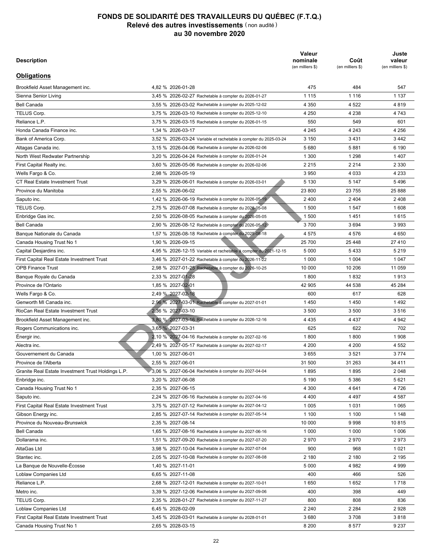| <b>Description</b>                                 |                                                                  | Valeur<br>nominale<br>(en milliers \$) | Coût<br>(en milliers \$) | Juste<br>valeur<br>(en milliers \$) |
|----------------------------------------------------|------------------------------------------------------------------|----------------------------------------|--------------------------|-------------------------------------|
| <b>Obligations</b>                                 |                                                                  |                                        |                          |                                     |
| Brookfield Asset Management inc.                   | 4.82 % 2026-01-28                                                | 475                                    | 484                      | 547                                 |
| Sienna Senior Living                               | 3,45 % 2026-02-27 Rachetable à compter du 2026-01-27             | 1 1 1 5                                | 1 1 1 6                  | 1 1 3 7                             |
| <b>Bell Canada</b>                                 | 3,55 % 2026-03-02 Rachetable à compter du 2025-12-02             | 4 3 5 0                                | 4 5 22                   | 4819                                |
| TELUS Corp.                                        | 3,75 % 2026-03-10 Rachetable à compter du 2025-12-10             | 4 2 5 0                                | 4 2 3 8                  | 4 7 4 3                             |
| Reliance L.P.                                      | 3,75 % 2026-03-15 Rachetable à compter du 2026-01-15             | 550                                    | 549                      | 601                                 |
| Honda Canada Finance inc.                          | 1,34 % 2026-03-17                                                | 4 2 4 5                                | 4 2 4 3                  | 4 2 5 6                             |
| Bank of America Corp.                              | 3,52 % 2026-03-24 Variable et rachetable à compter du 2025-03-24 | 3 1 5 0                                | 3431                     | 3 4 4 2                             |
| Altagas Canada inc.                                | 3,15 % 2026-04-06 Rachetable à compter du 2026-02-06             | 5680                                   | 5881                     | 6 190                               |
| North West Redwater Partnership                    | 3,20 % 2026-04-24 Rachetable à compter du 2026-01-24             | 1 300                                  | 1 2 9 8                  | 1 4 0 7                             |
| First Capital Realty inc.                          | 3,60 % 2026-05-06 Rachetable à compter du 2026-02-06             | 2 2 1 5                                | 2 2 1 4                  | 2 3 3 0                             |
| Wells Fargo & Co.                                  | 2,98 % 2026-05-19                                                | 3 9 5 0                                | 4 0 3 3                  | 4 2 3 3                             |
| <b>CT Real Estate Investment Trust</b>             | 3,29 % 2026-06-01 Rachetable à compter du 2026-03-01             | 5 1 3 0                                | 5 1 4 7                  | 5496                                |
| Province du Manitoba                               | 2,55 % 2026-06-02                                                | 23 800                                 | 23 755                   | 25 888                              |
| Saputo inc.                                        | 1,42 % 2026-06-19 Rachetable à compter du 2026-05-19             | 2400                                   | 2 4 0 4                  | 2 4 0 8                             |
| TELUS Corp.                                        | 2,75 % 2026-07-08 Rachetable à compter du 2026-05-08             | 1 500                                  | 1 547                    | 1608                                |
| Enbridge Gas inc.                                  | 2,50 % 2026-08-05 Rachetable à compter du 2026-05-05             | 1 500                                  | 1451                     | 1615                                |
| <b>Bell Canada</b>                                 | 2,90 % 2026-08-12 Rachetable à compter du 2026-05-12             | 3700                                   | 3694                     | 3993                                |
| Banque Nationale du Canada                         | 1,57 % 2026-08-18 Rachetable à compter du 2025-08-18             | 4575                                   | 4576                     | 4 6 5 0                             |
| Canada Housing Trust No 1                          | 1,90 % 2026-09-15                                                | 25 700                                 | 25 4 48                  | 27410                               |
| Capital Desjardins inc.                            | 4,95 % 2026-12-15 Variable et rachetable à compter du 2021-12-15 | 5 0 0 0                                | 5433                     | 5 2 1 9                             |
| First Capital Real Estate Investment Trust         | 3,46 % 2027-01-22 Rachetable à compter du 2026-11-22             | 1 0 0 0                                | 1 0 0 4                  | 1 0 4 7                             |
| <b>OPB Finance Trust</b>                           | 2,98 % 2027-01-25 Rachetable à compter du 2026-10-25             | 10 000                                 | 10 206                   | 11 059                              |
| Banque Royale du Canada                            | 2,33 % 2027-01-28                                                | 1800                                   | 1832                     | 1913                                |
| Province de l'Ontario                              | 1,85 % 2027-02-01                                                | 42 905                                 | 44 538                   | 45 284                              |
| Wells Fargo & Co.                                  | 2,49 % 2027-02-18                                                | 600                                    | 617                      | 628                                 |
| Genworth MI Canada inc.                            | 2,96 % 2027-03-01 Rachetable à compter du 2027-01-01             | 1450                                   | 1450                     | 1492                                |
| RioCan Real Estate Investment Trust                | 2,36 % 2027-03-10                                                | 3500                                   | 3 500                    | 3516                                |
| Brookfield Asset Management inc.                   | 3,80 % 2027-03-16 Rachetable à compter du 2026-12-16             | 4 4 3 5                                | 4 4 3 7                  | 4 9 4 2                             |
| Rogers Communications inc.                         | 3,65 % 2027-03-31                                                | 625                                    | 622                      | 702                                 |
| Énergir inc.                                       | 2,10 % 2027-04-16 Rachetable à compter du 2027-02-16             | 1800                                   | 1800                     | 1 9 0 8                             |
| Alectra inc.                                       | 2,49 % 2027-05-17 Rachetable à compter du 2027-02-17             | 4 200                                  | 4 200                    | 4 5 5 2                             |
| Gouvernement du Canada                             | 1,00 % 2027-06-01                                                | 3655                                   | 3521                     | 3 7 7 4                             |
| Province de l'Alberta                              | 2,55 % 2027-06-01                                                | 31 500                                 | 31 263                   | 34 411                              |
|                                                    |                                                                  |                                        |                          |                                     |
| Granite Real Estate Investment Trust Holdings L.P. | 3,06 % 2027-06-04 Rachetable à compter du 2027-04-04             | 1895                                   | 1895                     | 2 0 4 8                             |
| Enbridge inc.                                      | 3,20 % 2027-06-08                                                | 5 1 9 0                                | 5 3 8 6                  | 5 6 21                              |
| Canada Housing Trust No 1                          | 2,35 % 2027-06-15                                                | 4 300                                  | 4 641                    | 4 7 2 6                             |
| Saputo inc.                                        | 2,24 % 2027-06-16 Rachetable à compter du 2027-04-16             | 4 4 0 0                                | 4 4 9 7                  | 4 5 8 7                             |
| First Capital Real Estate Investment Trust         | 3,75 % 2027-07-12 Rachetable à compter du 2027-04-12             | 1 0 0 5                                | 1 0 3 1                  | 1 0 6 5                             |
| Gibson Energy inc.                                 | 2,85 % 2027-07-14 Rachetable à compter du 2027-05-14             | 1 100                                  | 1 100                    | 1 1 4 8                             |
| Province du Nouveau-Brunswick                      | 2,35 % 2027-08-14                                                | 10 000                                 | 9998                     | 10815                               |
| Bell Canada                                        | 1,65 % 2027-08-16 Rachetable à compter du 2027-06-16             | 1 0 0 0                                | 1 0 0 0                  | 1 0 0 6                             |
| Dollarama inc.                                     | 1,51 % 2027-09-20 Rachetable à compter du 2027-07-20             | 2970                                   | 2970                     | 2973                                |
| AltaGas Ltd                                        | 3,98 % 2027-10-04 Rachetable à compter du 2027-07-04             | 900                                    | 968                      | 1 0 2 1                             |
| Stantec inc.                                       | 2,05 % 2027-10-08 Rachetable à compter du 2027-08-08             | 2 180                                  | 2 180                    | 2 1 9 5                             |
| La Banque de Nouvelle-Écosse                       | 1,40 % 2027-11-01                                                | 5 0 0 0                                | 4982                     | 4 9 9 9                             |
| Loblaw Companies Ltd                               | 6,65 % 2027-11-08                                                | 400                                    | 466                      | 526                                 |
| Reliance L.P.                                      | 2,68 % 2027-12-01 Rachetable à compter du 2027-10-01             | 1650                                   | 1652                     | 1718                                |
| Metro inc.                                         | 3,39 % 2027-12-06 Rachetable à compter du 2027-09-06             | 400                                    | 398                      | 449                                 |
| TELUS Corp.                                        | 2,35 % 2028-01-27 Rachetable à compter du 2027-11-27             | 800                                    | 808                      | 836                                 |
| Loblaw Companies Ltd                               | 6,45 % 2028-02-09                                                | 2 2 4 0                                | 2 2 8 4                  | 2928                                |
| First Capital Real Estate Investment Trust         | 3,45 % 2028-03-01 Rachetable à compter du 2028-01-01             | 3680                                   | 3708                     | 3818                                |
| Canada Housing Trust No 1                          | 2,65 % 2028-03-15                                                | 8 2 0 0                                | 8577                     | 9 2 3 7                             |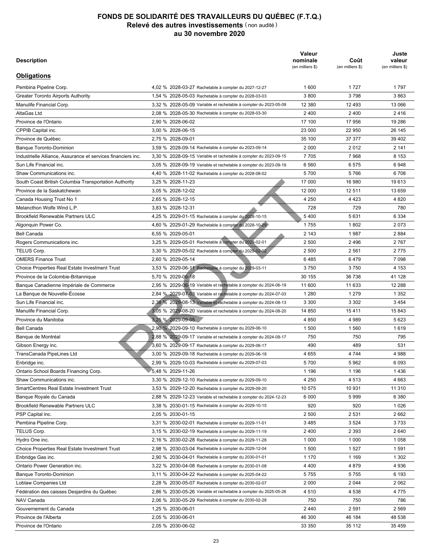| <b>Description</b>                                           |                                                                  | Valeur<br>nominale<br>(en milliers \$) | Coût<br>(en milliers \$) | Juste<br>valeur<br>(en milliers \$) |
|--------------------------------------------------------------|------------------------------------------------------------------|----------------------------------------|--------------------------|-------------------------------------|
| <b>Obligations</b>                                           |                                                                  |                                        |                          |                                     |
| Pembina Pipeline Corp.                                       | 4.02 % 2028-03-27 Rachetable à compter du 2027-12-27             | 1 600                                  | 1727                     | 1797                                |
| <b>Greater Toronto Airports Authority</b>                    | 1,54 % 2028-05-03 Rachetable à compter du 2028-03-03             | 3800                                   | 3798                     | 3863                                |
| Manulife Financial Corp.                                     | 3,32 % 2028-05-09 Variable et rachetable à compter du 2023-05-09 | 12 380                                 | 12 493                   | 13 066                              |
| AltaGas Ltd                                                  | 2,08 % 2028-05-30 Rachetable à compter du 2028-03-30             | 2400                                   | 2 4 0 0                  | 2416                                |
| Province de l'Ontario                                        | 2,90 % 2028-06-02                                                | 17 100                                 | 17 956                   | 19 28 6                             |
| CPPIB Capital inc.                                           | 3,00 % 2028-06-15                                                | 23 000                                 | 22 950                   | 26 145                              |
| Province de Québec                                           | 2,75 % 2028-09-01                                                | 35 100                                 | 37 377                   | 39 402                              |
| <b>Banque Toronto-Dominion</b>                               | 3,59 % 2028-09-14 Rachetable à compter du 2023-09-14             | 2 0 0 0                                | 2012                     | 2 141                               |
| Industrielle Alliance, Assurance et services financiers inc. | 3,30 % 2028-09-15 Variable et rachetable à compter du 2023-09-15 | 7705                                   | 7968                     | 8 1 5 3                             |
| Sun Life Financial inc.                                      | 3,05 % 2028-09-19 Variable et rachetable à compter du 2023-09-19 | 6 5 6 0                                | 6575                     | 6948                                |
| Shaw Communications inc.                                     | 4,40 % 2028-11-02 Rachetable à compter du 2028-08-02             | 5700                                   | 5766                     | 6708                                |
| South Coast British Columbia Transportation Authority        | 3,25 % 2028-11-23                                                | 17 000                                 | 16 980                   | 19613                               |
| Province de la Saskatchewan                                  | 3,05 % 2028-12-02                                                | 12 000                                 | 12 511                   | 13 659                              |
| Canada Housing Trust No 1                                    | 2,65 % 2028-12-15                                                | 4 2 5 0                                | 4 4 2 3                  | 4 8 20                              |
| Melancthon Wolfe Wind L.P.                                   | 3,83 % 2028-12-31                                                | 728                                    | 729                      | 780                                 |
| <b>Brookfield Renewable Partners ULC</b>                     | 4,25 % 2029-01-15 Rachetable à compter du 2028-10-15             | 5400                                   | 5631                     | 6 3 3 4                             |
| Algonquin Power Co.                                          | 4,60 % 2029-01-29 Rachetable à compter du 2028-10-29             | 1755                                   | 1802                     | 2073                                |
| <b>Bell Canada</b>                                           | 6,55 % 2029-05-01                                                | 2 1 4 3                                | 1987                     | 2884                                |
| Rogers Communications inc.                                   | 3,25 % 2029-05-01 Rachetable à compter du 2029-02-01             | 2 500                                  | 2496                     | 2767                                |
| TELUS Corp.                                                  | 3,30 % 2029-05-02 Rachetable à compter du 2029-02-02             | 2 500                                  | 2 5 6 1                  | 2775                                |
| <b>OMERS Finance Trust</b>                                   | 2,60 % 2029-05-14                                                | 6485                                   | 6479                     | 7 0 9 8                             |
| <b>Choice Properties Real Estate Investment Trust</b>        | 3,53 % 2029-06-11 Rachetable à compter du 2029-03-11             | 3750                                   | 3750                     | 4 1 5 3                             |
| Province de la Colombie-Britannique                          | 5,70 % 2029-06-18                                                | 30 155                                 | 36 738                   | 41 128                              |
| Banque Canadienne Impériale de Commerce                      | 2,95 % 2029-06-19 Variable et rachetable à compter du 2024-06-19 | 11 600                                 | 11 633                   | 12 2 8 8                            |
| La Banque de Nouvelle-Écosse                                 | 2,84 % 2029-07-03 Variable et rachetable à compter du 2024-07-03 | 1 2 8 0                                | 1 2 7 9                  | 1 3 5 2                             |
| Sun Life Financial inc.                                      | 2,38 % 2029-08-13 Variable et rachetable à compter du 2024-08-13 | 3 3 0 0                                | 3 3 0 2                  | 3 4 5 4                             |
| Manulife Financial Corp.                                     | 3,05 % 2029-08-20 Variable et rachetable à compter du 2024-08-20 | 14 850                                 | 15411                    | 15 843                              |
| Province du Manitoba                                         | 3,25 % 2029-09-05                                                | 4850                                   | 4989                     | 5 6 23                              |
| <b>Bell Canada</b>                                           |                                                                  | 1 500                                  | 1560                     | 1619                                |
|                                                              | 2,90 % 2029-09-10 Rachetable à compter du 2029-06-10             | 750                                    |                          |                                     |
| Banque de Montréal                                           | 2,88 % 2029-09-17 Variable et rachetable à compter du 2024-09-17 |                                        | 750                      | 795                                 |
| Gibson Energy inc.                                           | 3,60 % 2029-09-17 Rachetable à compter du 2029-06-17             | 490                                    | 489                      | 531                                 |
| TransCanada PipeLines Ltd                                    | 3,00 % 2029-09-18 Rachetable à compter du 2029-06-18             | 4 6 5 5                                | 4 7 4 4                  | 4988                                |
| Enbridge inc.                                                | 2.99 % 2029-10-03 Rachetable à compter du 2029-07-03             | 5700                                   | 5962                     | 6 0 9 3                             |
| Ontario School Boards Financing Corp.                        | 5,48 % 2029-11-26                                                | 1 1 9 6                                | 1 1 9 6                  | 1436                                |
| Shaw Communications inc.                                     | 3,30 % 2029-12-10 Rachetable à compter du 2029-09-10             | 4 2 5 0                                | 4 5 1 3                  | 4 6 63                              |
| <b>SmartCentres Real Estate Investment Trust</b>             | 3,53 % 2029-12-20 Rachetable à compter du 2029-09-20             | 10 575                                 | 10 931                   | 11 310                              |
| Banque Royale du Canada                                      | 2,88 % 2029-12-23 Variable et rachetable à compter du 2024-12-23 | 6 0 0 0                                | 5999                     | 6 3 8 0                             |
| Brookfield Renewable Partners ULC                            | 3,38 % 2030-01-15 Rachetable à compter du 2029-10-15             | 920                                    | 920                      | 1 0 2 6                             |
| PSP Capital inc.                                             | 2,05 % 2030-01-15                                                | 2 500                                  | 2 5 3 1                  | 2662                                |
| Pembina Pipeline Corp.                                       | 3,31 % 2030-02-01 Rachetable à compter du 2029-11-01             | 3485                                   | 3 5 24                   | 3733                                |
| TELUS Corp.                                                  | 3,15 % 2030-02-19 Rachetable à compter du 2029-11-19             | 2400                                   | 2 3 9 3                  | 2640                                |
| Hydro One inc.                                               | 2,16 % 2030-02-28 Rachetable à compter du 2029-11-28             | 1 0 0 0                                | 1 0 0 0                  | 1 0 5 8                             |
| <b>Choice Properties Real Estate Investment Trust</b>        | 2,98 % 2030-03-04 Rachetable à compter du 2029-12-04             | 1 500                                  | 1 5 2 7                  | 1591                                |
| Enbridge Gas inc.                                            | 2,90 % 2030-04-01 Rachetable à compter du 2030-01-01             | 1 1 7 0                                | 1 1 6 9                  | 1 3 0 2                             |
| Ontario Power Generation inc.                                | 3,22 % 2030-04-08 Rachetable à compter du 2030-01-08             | 4 4 0 0                                | 4879                     | 4 9 3 6                             |
| Banque Toronto-Dominion                                      | 3,11 % 2030-04-22 Rachetable à compter du 2025-04-22             | 5755                                   | 5755                     | 6 193                               |
| Loblaw Companies Ltd                                         | 2,28 % 2030-05-07 Rachetable à compter du 2030-02-07             | 2 0 0 0                                | 2 0 4 4                  | 2 0 6 2                             |
| Fédération des caisses Desjardins du Québec                  | 2,86 % 2030-05-26 Variable et rachetable à compter du 2025-05-26 | 4 5 1 0                                | 4 5 3 8                  | 4775                                |
| NAV Canada                                                   | 2,06 % 2030-05-29 Rachetable à compter du 2030-02-28             | 750                                    | 750                      | 786                                 |
| Gouvernement du Canada                                       | 1,25 % 2030-06-01                                                | 2440                                   | 2 5 9 1                  | 2 5 6 9                             |
| Province de l'Alberta                                        | 2,05 % 2030-06-01                                                | 46 300                                 | 46 184                   | 48 538                              |
| Province de l'Ontario                                        | 2,05 % 2030-06-02                                                | 33 350                                 | 35 112                   | 35 459                              |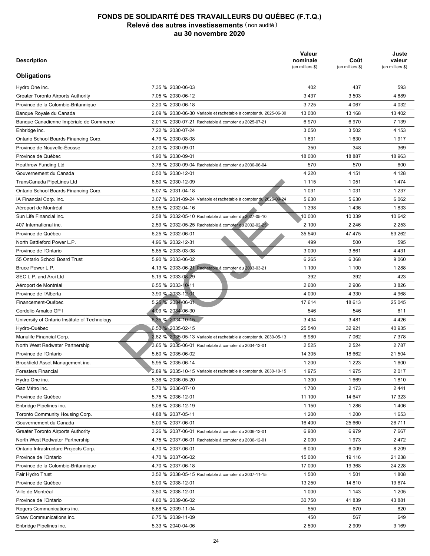| <b>Description</b>                            |                                                                  | Valeur<br>nominale<br>(en milliers \$) | Coût<br>(en milliers \$) | Juste<br>valeur<br>(en milliers \$) |
|-----------------------------------------------|------------------------------------------------------------------|----------------------------------------|--------------------------|-------------------------------------|
| <b>Obligations</b>                            |                                                                  |                                        |                          |                                     |
| Hydro One inc.                                | 7.35 % 2030-06-03                                                | 402                                    | 437                      | 593                                 |
| <b>Greater Toronto Airports Authority</b>     | 7,05 % 2030-06-12                                                | 3 4 3 7                                | 3 5 0 3                  | 4889                                |
| Province de la Colombie-Britannique           | 2,20 % 2030-06-18                                                | 3725                                   | 4 0 6 7                  | 4 0 3 2                             |
| Banque Royale du Canada                       | 2,09 % 2030-06-30 Variable et rachetable à compter du 2025-06-30 | 13 000                                 | 13 168                   | 13 402                              |
| Banque Canadienne Impériale de Commerce       | 2,01 % 2030-07-21 Rachetable à compter du 2025-07-21             | 6970                                   | 6970                     | 7 1 3 9                             |
| Enbridge inc.                                 | 7,22 % 2030-07-24                                                | 3 0 5 0                                | 3502                     | 4 1 5 3                             |
| Ontario School Boards Financing Corp.         | 4,79 % 2030-08-08                                                | 1631                                   | 1630                     | 1917                                |
| Province de Nouvelle-Écosse                   | 2,00 % 2030-09-01                                                | 350                                    | 348                      | 369                                 |
| Province de Québec                            | 1,90 % 2030-09-01                                                | 18 000                                 | 18887                    | 18 963                              |
| Heathrow Funding Ltd                          | 3,78 % 2030-09-04 Rachetable à compter du 2030-06-04             | 570                                    | 570                      | 600                                 |
| Gouvernement du Canada                        | 0,50 % 2030-12-01                                                | 4 2 2 0                                | 4 151                    | 4 1 2 8                             |
| TransCanada PipeLines Ltd                     | 6,50 % 2030-12-09                                                | 1 1 1 5                                | 1 0 5 1                  | 1474                                |
| Ontario School Boards Financing Corp.         | 5,07 % 2031-04-18                                                | 1 0 3 1                                | 1 0 3 1                  | 1 2 3 7                             |
| IA Financial Corp. inc.                       | 3,07 % 2031-09-24 Variable et rachetable à compter du 2026-09-24 | 5630                                   | 5 6 3 0                  | 6 0 62                              |
| Aéroport de Montréal                          | 6,95 % 2032-04-16                                                | 1 3 9 8                                | 1436                     | 1833                                |
| Sun Life Financial inc.                       | 2,58 % 2032-05-10 Rachetable à compter du 2027-05-10             | 10 000                                 | 10 339                   | 10 642                              |
| 407 International inc.                        | 2,59 % 2032-05-25 Rachetable à compter du 2032-02-25             | 2 100                                  | 2 2 4 6                  | 2 2 5 3                             |
| Province de Québec                            | 6,25 % 2032-06-01                                                | 35 540                                 | 47 475                   | 53 262                              |
| North Battleford Power L.P.                   | 4,96 % 2032-12-31                                                | 499                                    | 500                      | 595                                 |
| Province de l'Ontario                         | 5,85 % 2033-03-08                                                | 3 0 0 0                                | 3861                     | 4 4 3 1                             |
| 55 Ontario School Board Trust                 | 5,90 % 2033-06-02                                                | 6 2 6 5                                | 6 3 6 8                  | 9 0 6 0                             |
| Bruce Power L.P.                              | 4,13 % 2033-06-21 Rachetable à compter du 2033-03-21             | 1 100                                  | 1 100                    | 1 2 8 8                             |
| SEC L.P. and Arci Ltd                         | 5,19 % 2033-08-29                                                | 392                                    | 392                      | 423                                 |
| Aéroport de Montréal                          | 6,55 % 2033-10-11                                                | 2600                                   | 2 9 0 6                  | 3826                                |
| Province de l'Alberta                         | 3,90 % 2033-12-01                                                | 4 0 0 0                                | 4 3 3 0                  | 4968                                |
| Financement-Québec                            | 5,25 % 2034-06-01                                                | 17614                                  | 18 613                   | 25 045                              |
| Cordelio Amalco GP I                          |                                                                  |                                        |                          |                                     |
|                                               | 4,09 % 2034-06-30                                                | 546                                    | 546                      | 611                                 |
| University of Ontario Institute of Technology | 6,35 % 2034-10-15                                                | 3 4 3 4                                | 3481                     | 4 4 2 6                             |
| Hydro-Québec                                  | 6.50 % 2035-02-15                                                | 25 540                                 | 32 921                   | 40 935                              |
| Manulife Financial Corp.                      | 2,82 % 2035-05-13 Variable et rachetable à compter du 2030-05-13 | 6980                                   | 7 0 6 2                  | 7 3 7 8                             |
| North West Redwater Partnership               | 3,65 % 2035-06-01 Rachetable à compter du 2034-12-01             | 2 5 2 5                                | 2 5 24                   | 2787                                |
| Province de l'Ontario                         | 5,60 % 2035-06-02                                                | 14 305                                 | 18 662                   | 21 504                              |
| Brookfield Asset Management inc.              | 5,95 % 2035-06-14                                                | 1 200                                  | 1 2 2 3                  | 1600                                |
| <b>Foresters Financial</b>                    | 2,89 % 2035-10-15 Variable et rachetable à compter du 2030-10-15 | 1975                                   | 1975                     | 2017                                |
| Hydro One inc.                                | 5,36 % 2036-05-20                                                | 1 300                                  | 1669                     | 1810                                |
| Gaz Métro inc.                                | 5,70 % 2036-07-10                                                | 1700                                   | 2 1 7 3                  | 2441                                |
| Province de Québec                            | 5,75 % 2036-12-01                                                | 11 100                                 | 14 647                   | 17 323                              |
| Enbridge Pipelines inc.                       | 5,08 % 2036-12-19                                                | 1 1 5 0                                | 1 2 8 6                  | 1406                                |
| Toronto Community Housing Corp.               | 4,88 % 2037-05-11                                                | 1 200                                  | 1 200                    | 1653                                |
| Gouvernement du Canada                        | 5,00 % 2037-06-01                                                | 16 400                                 | 25 660                   | 26 711                              |
| <b>Greater Toronto Airports Authority</b>     | 3,26 % 2037-06-01 Rachetable à compter du 2036-12-01             | 6 900                                  | 6979                     | 7667                                |
| North West Redwater Partnership               | 4,75 % 2037-06-01 Rachetable à compter du 2036-12-01             | 2 0 0 0                                | 1973                     | 2472                                |
| Ontario Infrastructure Projects Corp.         | 4,70 % 2037-06-01                                                | 6 0 0 0                                | 6 0 0 9                  | 8 2 0 9                             |
| Province de l'Ontario                         | 4,70 % 2037-06-02                                                | 15 000                                 | 19 116                   | 21 238                              |
| Province de la Colombie-Britannique           | 4,70 % 2037-06-18                                                | 17 000                                 | 19 3 68                  | 24 228                              |
| Fair Hydro Trust                              | 3,52 % 2038-05-15 Rachetable à compter du 2037-11-15             | 1 500                                  | 1 501                    | 1808                                |
| Province de Québec                            | 5,00 % 2038-12-01                                                | 13 250                                 | 14 8 10                  | 19674                               |
| Ville de Montréal                             | 3,50 % 2038-12-01                                                | 1 0 0 0                                | 1 1 4 3                  | 1 2 0 5                             |
| Province de l'Ontario                         | 4,60 % 2039-06-02                                                | 30 750                                 | 41839                    | 43 881                              |
| Rogers Communications inc.                    | 6,68 % 2039-11-04                                                | 550                                    | 670                      | 820                                 |
| Shaw Communications inc.                      | 6,75 % 2039-11-09                                                | 450                                    | 567                      | 649                                 |
| Enbridge Pipelines inc.                       | 5,33 % 2040-04-06                                                | 2 500                                  | 2 9 0 9                  | 3 1 6 9                             |
|                                               |                                                                  |                                        |                          |                                     |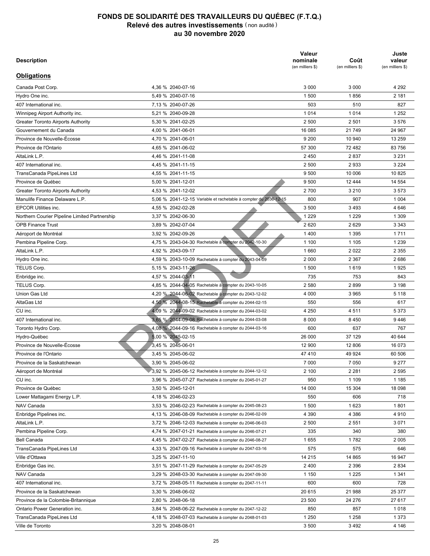| <b>Description</b>                                                        |                                                                  | Valeur<br>nominale<br>(en milliers \$) | Coût<br>(en milliers \$) | Juste<br>valeur<br>(en milliers \$) |
|---------------------------------------------------------------------------|------------------------------------------------------------------|----------------------------------------|--------------------------|-------------------------------------|
| <b>Obligations</b>                                                        |                                                                  |                                        |                          |                                     |
| Canada Post Corp.                                                         | 4,36 % 2040-07-16                                                | 3 0 0 0                                | 3 0 0 0                  | 4 2 9 2                             |
| Hydro One inc.                                                            | 5,49 % 2040-07-16                                                | 1 500                                  | 1856                     | 2 181                               |
| 407 International inc.                                                    | 7.13 % 2040-07-26                                                | 503                                    | 510                      | 827                                 |
| Winnipeg Airport Authority inc.                                           | 5,21 % 2040-09-28                                                | 1014                                   | 1014                     | 1 2 5 2                             |
| <b>Greater Toronto Airports Authority</b>                                 | 5,30 % 2041-02-25                                                | 2 500                                  | 2 501                    | 3576                                |
| Gouvernement du Canada                                                    | 4,00 % 2041-06-01                                                | 16 085                                 | 21 749                   | 24 967                              |
| Province de Nouvelle-Écosse                                               | 4,70 % 2041-06-01                                                | 9 2 0 0                                | 10 940                   | 13 259                              |
| Province de l'Ontario                                                     | 4,65 % 2041-06-02                                                | 57 300                                 | 72 482                   | 83 756                              |
| AltaLink L.P.                                                             | 4,46 % 2041-11-08                                                | 2450                                   | 2837                     | 3 2 3 1                             |
| 407 International inc.                                                    | 4,45 % 2041-11-15                                                | 2 500                                  | 2933                     | 3 2 2 4                             |
| TransCanada PipeLines Ltd                                                 | 4,55 % 2041-11-15                                                | 9 500                                  | 10 006                   | 10825                               |
| Province de Québec                                                        | 5,00 % 2041-12-01                                                | 9 500                                  | 12 444                   | 14 554                              |
| <b>Greater Toronto Airports Authority</b>                                 | 4,53 % 2041-12-02                                                | 2700                                   | 3 2 1 0                  | 3 5 7 3                             |
| Manulife Finance Delaware L.P.                                            | 5.06 % 2041-12-15 Variable et rachetable à compter du 2036-12-15 | 800                                    | 907                      | 1 0 0 4                             |
| <b>EPCOR Utilities inc.</b>                                               | 4,55 % 2042-02-28                                                | 3 500                                  | 3493                     | 4 6 4 6                             |
|                                                                           | 3,37 % 2042-06-30                                                | 1 2 2 9                                | 1 2 2 9                  | 1 3 0 9                             |
| Northern Courier Pipeline Limited Partnership<br><b>OPB Finance Trust</b> | 3,89 % 2042-07-04                                                | 2620                                   | 2629                     | 3 3 4 3                             |
|                                                                           |                                                                  |                                        |                          |                                     |
| Aéroport de Montréal                                                      | 3,92 % 2042-09-26                                                | 1400                                   | 1 3 9 5                  | 1711                                |
| Pembina Pipeline Corp.                                                    | 4.75 % 2043-04-30 Rachetable à compter du 2042-10-30             | 1 100                                  | 1 1 0 5                  | 1 2 3 9                             |
| AltaLink L.P.                                                             | 4,92 % 2043-09-17                                                | 1660                                   | 2022                     | 2 3 5 5                             |
| Hydro One inc.                                                            | 4,59 % 2043-10-09 Rachetable à compter du 2043-04-09             | 2 0 0 0                                | 2 3 6 7                  | 2686                                |
| TELUS Corp.                                                               | 5,15 % 2043-11-26                                                | 1 500                                  | 1619                     | 1925                                |
| Enbridge inc.                                                             | 4,57 % 2044-03-11                                                | 735                                    | 753                      | 843                                 |
| TELUS Corp.                                                               | 4,85 % 2044-04-05 Rachetable à compter du 2043-10-05             | 2 5 8 0                                | 2899                     | 3 1 9 8                             |
| Union Gas Ltd                                                             | 4,20 % 2044-06-02 Rachetable à compter du 2043-12-02             | 4 0 0 0                                | 3 9 6 5                  | 5 1 1 8                             |
| AltaGas Ltd                                                               | 4,50 % 2044-08-15 Rachetable à compter du 2044-02-15             | 550                                    | 556                      | 617                                 |
| CU inc.                                                                   | 4,09 % 2044-09-02 Rachetable à compter du 2044-03-02             | 4 2 5 0                                | 4511                     | 5 3 7 3                             |
| 407 International inc.                                                    | 3,65 % 2044-09-08 Rachetable à compter du 2044-03-08             | 8 0 0 0                                | 8 4 5 0                  | 9446                                |
| Toronto Hydro Corp.                                                       | 4,08 % 2044-09-16 Rachetable à compter du 2044-03-16             | 600                                    | 637                      | 767                                 |
| Hydro-Québec                                                              | 5,00 % 2045-02-15                                                | 26 000                                 | 37 129                   | 40 644                              |
| Province de Nouvelle-Écosse                                               | 3,45 % 2045-06-01                                                | 12 900                                 | 12 806                   | 16 073                              |
| Province de l'Ontario                                                     | 3.45 % 2045-06-02                                                | 47 410                                 | 49 924                   | 60 506                              |
| Province de la Saskatchewan                                               | 3.90 % 2045-06-02                                                | 7 0 0 0                                | 7 0 5 0                  | 9 2 7 7                             |
| Aéroport de Montréal                                                      | 3,92 % 2045-06-12 Rachetable à compter du 2044-12-12             | 2 100                                  | 2 2 8 1                  | 2 5 9 5                             |
| CU inc.                                                                   | 3,96 % 2045-07-27 Rachetable à compter du 2045-01-27             | 950                                    | 1 1 0 9                  | 1 1 8 5                             |
| Province de Québec                                                        | 3,50 % 2045-12-01                                                | 14 000                                 | 15 304                   | 18 098                              |
| Lower Mattagami Energy L.P.                                               | 4,18 % 2046-02-23                                                | 550                                    | 606                      | 718                                 |
| NAV Canada                                                                | 3,53 % 2046-02-23 Rachetable à compter du 2045-08-23             | 1 500                                  | 1623                     | 1801                                |
| Enbridge Pipelines inc.                                                   | 4,13 % 2046-08-09 Rachetable à compter du 2046-02-09             | 4 3 9 0                                | 4 3 8 6                  | 4910                                |
| AltaLink L.P.                                                             | 3,72 % 2046-12-03 Rachetable à compter du 2046-06-03             | 2 500                                  | 2 5 5 1                  | 3 0 7 1                             |
| Pembina Pipeline Corp.                                                    | 4,74 % 2047-01-21 Rachetable à compter du 2046-07-21             | 335                                    | 340                      | 380                                 |
| Bell Canada                                                               | 4,45 % 2047-02-27 Rachetable à compter du 2046-08-27             | 1655                                   | 1782                     | 2 0 0 5                             |
| TransCanada PipeLines Ltd                                                 | 4,33 % 2047-09-16 Rachetable à compter du 2047-03-16             | 575                                    | 575                      | 646                                 |
| Ville d'Ottawa                                                            | 3,25 % 2047-11-10                                                | 14 215                                 | 14 865                   | 16 947                              |
| Enbridge Gas inc.                                                         | 3,51 % 2047-11-29 Rachetable à compter du 2047-05-29             | 2 4 0 0                                | 2 3 9 6                  | 2 8 3 4                             |
| NAV Canada                                                                | 3,29 % 2048-03-30 Rachetable à compter du 2047-09-30             | 1 150                                  | 1 2 2 5                  | 1 3 4 1                             |
| 407 International inc.                                                    | 3,72 % 2048-05-11 Rachetable à compter du 2047-11-11             | 600                                    | 600                      | 728                                 |
| Province de la Saskatchewan                                               | 3,30 % 2048-06-02                                                | 20 615                                 | 21 988                   | 25 377                              |
| Province de la Colombie-Britannique                                       | 2,80 % 2048-06-18                                                | 23 500                                 | 24 276                   | 27 617                              |
| Ontario Power Generation inc.                                             | 3,84 % 2048-06-22 Rachetable à compter du 2047-12-22             | 850                                    | 857                      | 1018                                |
| TransCanada PipeLines Ltd                                                 | 4,18 % 2048-07-03 Rachetable à compter du 2048-01-03             | 1 2 5 0                                | 1 2 5 8                  | 1 3 7 3                             |
| Ville de Toronto                                                          | 3,20 % 2048-08-01                                                | 3 500                                  | 3492                     | 4 1 4 6                             |
|                                                                           |                                                                  |                                        |                          |                                     |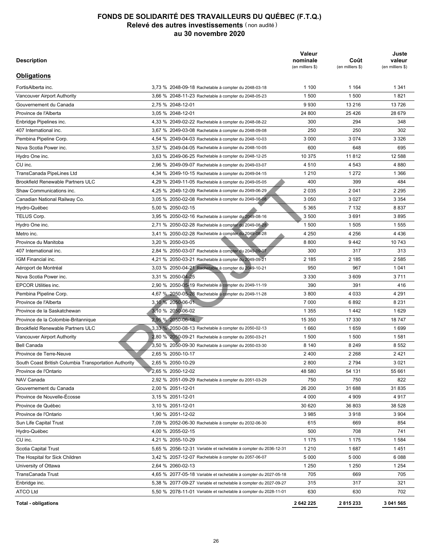| <b>Description</b>                                    |                                                                  | Valeur<br>nominale<br>(en milliers \$) | Coût<br>(en milliers \$) | Juste<br>valeur<br>(en milliers \$) |
|-------------------------------------------------------|------------------------------------------------------------------|----------------------------------------|--------------------------|-------------------------------------|
| <b>Obligations</b>                                    |                                                                  |                                        |                          |                                     |
| FortisAlberta inc.                                    | 3.73 % 2048-09-18 Rachetable à compter du 2048-03-18             | 1 100                                  | 1 1 6 4                  | 1 3 4 1                             |
| Vancouver Airport Authority                           | 3,66 % 2048-11-23 Rachetable à compter du 2048-05-23             | 1 500                                  | 1500                     | 1821                                |
| Gouvernement du Canada                                | 2,75 % 2048-12-01                                                | 9930                                   | 13 216                   | 13726                               |
| Province de l'Alberta                                 | 3,05 % 2048-12-01                                                | 24 800                                 | 25 4 26                  | 28 679                              |
| Enbridge Pipelines inc.                               | 4,33 % 2049-02-22 Rachetable à compter du 2048-08-22             | 300                                    | 294                      | 348                                 |
| 407 International inc.                                | 3,67 % 2049-03-08 Rachetable à compter du 2048-09-08             | 250                                    | 250                      | 302                                 |
| Pembina Pipeline Corp.                                | 4.54 % 2049-04-03 Rachetable à compter du 2048-10-03             | 3 0 0 0                                | 3 0 7 4                  | 3 3 2 6                             |
| Nova Scotia Power inc.                                | 3,57 % 2049-04-05 Rachetable à compter du 2048-10-05             | 600                                    | 648                      | 695                                 |
| Hydro One inc.                                        | 3,63 % 2049-06-25 Rachetable à compter du 2048-12-25             | 10 375                                 | 11812                    | 12 588                              |
| CU inc.                                               | 2,96 % 2049-09-07 Rachetable à compter du 2049-03-07             | 4510                                   | 4 5 4 3                  | 4 8 8 0                             |
| TransCanada PipeLines Ltd                             | 4,34 % 2049-10-15 Rachetable à compter du 2049-04-15             | 1 2 1 0                                | 1 2 7 2                  | 1 3 6 6                             |
| <b>Brookfield Renewable Partners ULC</b>              | 4,29 % 2049-11-05 Rachetable à compter du 2049-05-05             | 400                                    | 399                      | 484                                 |
| Shaw Communications inc.                              | 4,25 % 2049-12-09 Rachetable à compter du 2049-06-29             | 2035                                   | 2 0 4 1                  | 2 2 9 5                             |
| Canadian National Railway Co.                         | 3,05 % 2050-02-08 Rachetable à compter du 2049-08-08             | 3 0 5 0                                | 3 0 2 7                  | 3 3 5 4                             |
| Hydro-Québec                                          | 5.00 % 2050-02-15                                                | 5 3 6 5                                | 7 1 3 2                  | 8837                                |
| TELUS Corp.                                           | 3,95 % 2050-02-16 Rachetable à compter du 2049-08-16             | 3 500                                  | 3691                     | 3895                                |
| Hydro One inc.                                        | 2,71 % 2050-02-28 Rachetable à compter du 2049-08-28             | 1 500                                  | 1 505                    | 1555                                |
| Metro inc.                                            | 3,41 % 2050-02-28 Rachetable à compter du 2049-08-28             | 4 2 5 0                                | 4 2 5 6                  | 4 4 3 6                             |
| Province du Manitoba                                  | 3,20 % 2050-03-05                                                | 8800                                   | 9442                     | 10 743                              |
| 407 International inc.                                | 2,84 % 2050-03-07 Rachetable à compter du 2049-09-07             | 300                                    | 317                      | 313                                 |
| IGM Financial inc.                                    | 4,21 % 2050-03-21 Rachetable à compter du 2049-09-21             | 2 185                                  | 2 185                    | 2 5 8 5                             |
| Aéroport de Montréal                                  | 3,03 % 2050-04-21 Rachetable à compter du 2049-10-21             | 950                                    | 967                      | 1 0 4 1                             |
| Nova Scotia Power inc.                                | 3,31 % 2050-04-25                                                | 3 3 3 0                                | 3609                     | 3711                                |
| <b>EPCOR Utilities inc.</b>                           |                                                                  | 390                                    | 391                      | 416                                 |
|                                                       | 2,90 % 2050-05-19 Rachetable à compter du 2049-11-19             | 3800                                   | 4 0 3 3                  | 4 2 9 1                             |
| Pembina Pipeline Corp.<br>Province de l'Alberta       | 4,67 % 2050-05-28 Rachetable à compter du 2049-11-28             | 7 0 0 0                                | 6892                     | 8 2 3 1                             |
| Province de la Saskatchewan                           | 3,10 % 2050-06-01                                                |                                        |                          | 1629                                |
|                                                       | 3,10 % 2050-06-02                                                | 1 3 5 5                                | 1442                     |                                     |
| Province de la Colombie-Britannique                   | 2,95 % 2050-06-18                                                | 15 350                                 | 17 330                   | 18747                               |
| <b>Brookfield Renewable Partners ULC</b>              | 3,33 % 2050-08-13 Rachetable à compter du 2050-02-13             | 1660                                   | 1659                     | 1699                                |
| Vancouver Airport Authority                           | 2,80 % 2050-09-21 Rachetable à compter du 2050-03-21             | 1 500                                  | 1 500                    | 1581                                |
| <b>Bell Canada</b>                                    | 3,50 % 2050-09-30 Rachetable à compter du 2050-03-30             | 8 1 4 0                                | 8 2 4 9                  | 8 5 5 2                             |
| Province de Terre-Neuve                               | 2,65 % 2050-10-17                                                | 2400                                   | 2 2 6 8                  | 2421                                |
| South Coast British Columbia Transportation Authority | 2,65 % 2050-10-29                                                | 2800                                   | 2 7 9 4                  | 3 0 2 1                             |
| Province de l'Ontario                                 | 2,65 % 2050-12-02                                                | 48 580                                 | 54 131                   | 55 661                              |
| NAV Canada                                            | 2,92 % 2051-09-29 Rachetable à compter du 2051-03-29             | 750                                    | 750                      | 822                                 |
| Gouvernement du Canada                                | 2,00 % 2051-12-01                                                | 26 200                                 | 31 688                   | 31 835                              |
| Province de Nouvelle-Écosse                           | 3,15 % 2051-12-01                                                | 4 0 0 0                                | 4 9 0 9                  | 4917                                |
| Province de Québec                                    | 3,10 % 2051-12-01                                                | 30 620                                 | 36 803                   | 38 528                              |
| Province de l'Ontario                                 | 1,90 % 2051-12-02                                                | 3985                                   | 3918                     | 3 9 0 4                             |
| Sun Life Capital Trust                                | 7,09 % 2052-06-30 Rachetable à compter du 2032-06-30             | 615                                    | 669                      | 854                                 |
| Hydro-Québec                                          | 4,00 % 2055-02-15                                                | 500                                    | 708                      | 741                                 |
| CU inc.                                               | 4,21 % 2055-10-29                                                | 1 1 7 5                                | 1 1 7 5                  | 1584                                |
| Scotia Capital Trust                                  | 5,65 % 2056-12-31 Variable et rachetable à compter du 2036-12-31 | 1 2 1 0                                | 1687                     | 1451                                |
| The Hospital for Sick Children                        | 3,42 % 2057-12-07 Rachetable à compter du 2057-06-07             | 5 0 0 0                                | 5 0 0 0                  | 6088                                |
| University of Ottawa                                  | 2,64 % 2060-02-13                                                | 1 2 5 0                                | 1 2 5 0                  | 1 2 5 4                             |
| TransCanada Trust                                     | 4,65 % 2077-05-18 Variable et rachetable à compter du 2027-05-18 | 705                                    | 669                      | 705                                 |
| Enbridge inc.                                         | 5,38 % 2077-09-27 Variable et rachetable à compter du 2027-09-27 | 315                                    | 317                      | 321                                 |
| <b>ATCO Ltd</b>                                       | 5,50 % 2078-11-01 Variable et rachetable à compter du 2028-11-01 | 630                                    | 630                      | 702                                 |
| <b>Total - obligations</b>                            |                                                                  | 2642225                                | 2815233                  | 3 041 565                           |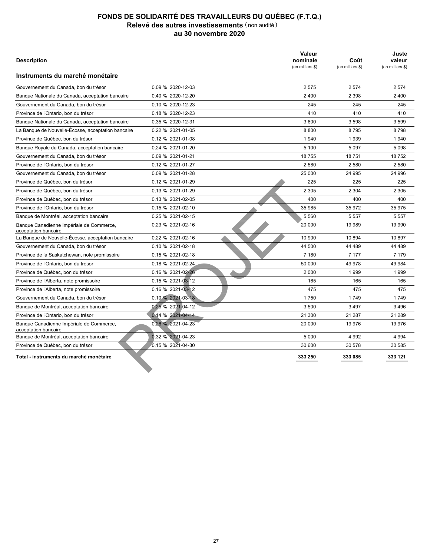| <b>Description</b>                                               |                      | Valeur<br>nominale<br>(en milliers \$) | Coût<br>(en milliers \$) | Juste<br>valeur<br>(en milliers \$) |
|------------------------------------------------------------------|----------------------|----------------------------------------|--------------------------|-------------------------------------|
| Instruments du marché monétaire                                  |                      |                                        |                          |                                     |
| Gouvernement du Canada, bon du trésor                            | 0.09 % 2020-12-03    | 2575                                   | 2 5 7 4                  | 2 5 7 4                             |
| Banque Nationale du Canada, acceptation bancaire                 | 0.40 % 2020-12-20    | 2 4 0 0                                | 2 3 9 8                  | 2 4 0 0                             |
| Gouvernement du Canada, bon du trésor                            | 0,10 % 2020-12-23    | 245                                    | 245                      | 245                                 |
| Province de l'Ontario, bon du trésor                             | 0.18 % 2020-12-23    | 410                                    | 410                      | 410                                 |
| Banque Nationale du Canada, acceptation bancaire                 | 0.35 % 2020-12-31    | 3 600                                  | 3598                     | 3 5 9 9                             |
| La Banque de Nouvelle-Écosse, acceptation bancaire               | 0,22 % 2021-01-05    | 8800                                   | 8795                     | 8798                                |
| Province de Québec, bon du trésor                                | 0.12 % 2021-01-08    | 1 940                                  | 1 9 3 9                  | 1 940                               |
| Banque Royale du Canada, acceptation bancaire                    | 0,24 % 2021-01-20    | 5 100                                  | 5 0 9 7                  | 5 0 9 8                             |
| Gouvernement du Canada, bon du trésor                            | 0,09 % 2021-01-21    | 18 755                                 | 18751                    | 18752                               |
| Province de l'Ontario, bon du trésor                             | 0,12 % 2021-01-27    | 2 5 8 0                                | 2 5 8 0                  | 2 5 8 0                             |
| Gouvernement du Canada, bon du trésor                            | 0.09 % 2021-01-28    | 25 000                                 | 24 995                   | 24 996                              |
| Province de Québec, bon du trésor                                | 0.12 % 2021-01-29    | 225                                    | 225                      | 225                                 |
| Province de Québec, bon du trésor                                | 0.13 % 2021-01-29    | 2 3 0 5                                | 2 3 0 4                  | 2 3 0 5                             |
| Province de Québec, bon du trésor                                | 0.13 % 2021-02-05    | 400                                    | 400                      | 400                                 |
| Province de l'Ontario, bon du trésor                             | 0.15 % 2021-02-10    | 35 985                                 | 35 972                   | 35 975                              |
| Banque de Montréal, acceptation bancaire                         | 0,25 % 2021-02-15    | 5 5 6 0                                | 5 5 5 7                  | 5 5 5 7                             |
| Banque Canadienne Impériale de Commerce,<br>acceptation bancaire | 0.23 % 2021-02-16    | 20 000                                 | 19 989                   | 19 990                              |
| La Banque de Nouvelle-Écosse, acceptation bancaire               | 0.22 % 2021-02-16    | 10 900                                 | 10 894                   | 10897                               |
| Gouvernement du Canada, bon du trésor                            | $0.10 \%$ 2021-02-18 | 44 500                                 | 44 489                   | 44 489                              |
| Province de la Saskatchewan, note promissoire                    | 0.15 % 2021-02-18    | 7 180                                  | 7 1 7 7                  | 7 1 7 9                             |
| Province de l'Ontario, bon du trésor                             | 0.18 % 2021-02-24    | 50 000                                 | 49 978                   | 49 984                              |
| Province de Québec, bon du trésor                                | 0.16 % 2021-02-26    | 2 0 0 0                                | 1 9 9 9                  | 1999                                |
| Province de l'Alberta, note promissoire                          | 0.15 % 2021-03-12    | 165                                    | 165                      | 165                                 |
| Province de l'Alberta, note promissoire                          | 0,16 % 2021-03-12    | 475                                    | 475                      | 475                                 |
| Gouvernement du Canada, bon du trésor                            | 0,10 % 2021-03-18    | 1750                                   | 1749                     | 1749                                |
| Banque de Montréal, acceptation bancaire                         | 0,25 % 2021-04-12    | 3 500                                  | 3497                     | 3496                                |
| Province de l'Ontario, bon du trésor                             | 0.14 % 2021-04-14    | 21 300                                 | 21 287                   | 21 289                              |
| Banque Canadienne Impériale de Commerce,<br>acceptation bancaire | 0,26 % 2021-04-23    | 20 000                                 | 19 976                   | 19 976                              |
| Banque de Montréal, acceptation bancaire                         | 0.32 % 2021-04-23    | 5 0 0 0                                | 4 9 9 2                  | 4 9 9 4                             |
| Province de Québec, bon du trésor                                | 0.15 % 2021-04-30    | 30 600                                 | 30 578                   | 30 585                              |
| Total - instruments du marché monétaire                          |                      | 333 250                                | 333 085                  | 333 121                             |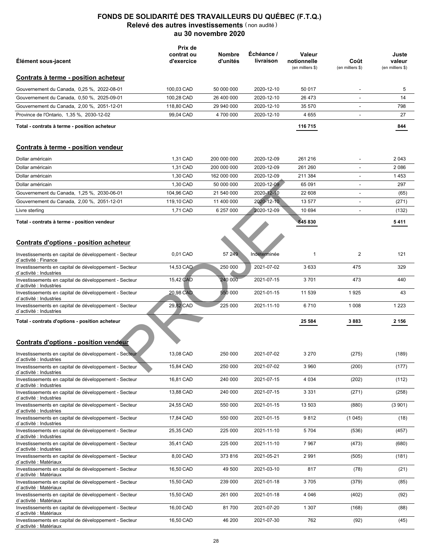|                                                                                                                                           | Prix de                  |                           |                          |                                           |                              |                                     |
|-------------------------------------------------------------------------------------------------------------------------------------------|--------------------------|---------------------------|--------------------------|-------------------------------------------|------------------------------|-------------------------------------|
| Élément sous-jacent                                                                                                                       | contrat ou<br>d'exercice | <b>Nombre</b><br>d'unités | Echéance /<br>livraison  | Valeur<br>notionnelle<br>(en milliers \$) | Coût<br>(en milliers \$)     | Juste<br>valeur<br>(en milliers \$) |
| Contrats à terme - position acheteur                                                                                                      |                          |                           |                          |                                           |                              |                                     |
| Gouvernement du Canada, 0,25 %, 2022-08-01                                                                                                | 100,03 CAD               | 50 000 000                | 2020-12-10               | 50 017                                    | $\overline{\phantom{a}}$     | 5                                   |
| Gouvernement du Canada, 0,50 %, 2025-09-01                                                                                                | 100,28 CAD               | 26 400 000                | 2020-12-10               | 26 473                                    | $\overline{a}$               | 14                                  |
| Gouvernement du Canada, 2,00 %, 2051-12-01                                                                                                | 118,80 CAD               | 29 940 000                | 2020-12-10               | 35 570                                    | ä,                           | 798                                 |
| Province de l'Ontario, 1,35 %, 2030-12-02                                                                                                 | 99,04 CAD                | 4700000                   | 2020-12-10               | 4 6 5 5                                   | $\overline{a}$               | 27                                  |
| Total - contrats à terme - position acheteur                                                                                              |                          |                           |                          | 116 715                                   |                              | 844                                 |
| Contrats à terme - position vendeur                                                                                                       |                          |                           |                          |                                           |                              |                                     |
| Dollar américain                                                                                                                          | 1,31 CAD                 | 200 000 000               | 2020-12-09               | 261 216                                   |                              | 2043                                |
| Dollar américain                                                                                                                          | 1,31 CAD                 | 200 000 000               | 2020-12-09               | 261 260                                   |                              | 2086                                |
| Dollar américain                                                                                                                          | 1,30 CAD                 | 162 000 000               | 2020-12-09               | 211 384                                   | $\overline{a}$               | 1453                                |
| Dollar américain                                                                                                                          | 1.30 CAD                 | 50 000 000                | 2020-12-09               | 65 091                                    | $\overline{a}$               | 297                                 |
| Gouvernement du Canada, 1,25 %, 2030-06-01                                                                                                | 104,96 CAD               | 21 540 000                | 2020-12-10               | 22 608                                    | $\overline{a}$               | (65)                                |
| Gouvernement du Canada, 2,00 %, 2051-12-01                                                                                                | 119,10 CAD               | 11 400 000                | 2020-12-10               | 13 577                                    | $\qquad \qquad \blacksquare$ | (271)                               |
| Livre sterling                                                                                                                            | 1,71 CAD                 | 6 257 000                 | 2020-12-09               | 10 694                                    | $\overline{a}$               | (132)                               |
| Total - contrats à terme - position vendeur                                                                                               |                          |                           |                          | 845 830                                   |                              | 5 411                               |
| <b>Contrats d'options - position acheteur</b>                                                                                             |                          |                           |                          |                                           |                              |                                     |
| Investissements en capital de développement - Secteur<br>d'activité : Finance                                                             | 0,01 CAD                 | 57 249                    | Indéterminée             | $\mathbf{1}$                              | 2                            | 121                                 |
| Investissements en capital de développement - Secteur<br>d'activité : Industries                                                          | 14,53 CAD                | 250 000                   | 2021-07-02               | 3633                                      | 475                          | 329                                 |
| Investissements en capital de développement - Secteur<br>d'activité : Industries                                                          | 15,42 CAD                | 240 000                   | 2021-07-15               | 3701                                      | 473                          | 440                                 |
| Investissements en capital de développement - Secteur<br>d'activité : Industries                                                          | 20,98 CAD                | 550 000                   | 2021-01-15               | 11 539                                    | 1925                         | 43                                  |
| Investissements en capital de développement - Secteur<br>d'activité : Industries                                                          | 29,82 CAD                | 225 000                   | 2021-11-10               | 6710                                      | 1 0 0 8                      | 1 2 2 3                             |
| Total - contrats d'options - position acheteur                                                                                            |                          |                           |                          | 25 584                                    | 3883                         | 2 1 5 6                             |
| <b>Contrats d'options - position vendeur</b>                                                                                              |                          |                           |                          |                                           |                              |                                     |
| Investissements en capital de développement - Secteur<br>d`activité : Industries                                                          | 13,08 CAD                | 250 000                   | 2021-07-02               | 3 2 7 0                                   | (275)                        | (189)                               |
| Investissements en capital de développement - Secteur<br>d'activité : Industries                                                          | 15,84 CAD                | 250 000                   | 2021-07-02               | 3 9 6 0                                   | (200)                        | (177)                               |
| Investissements en capital de développement - Secteur<br>d'activité : Industries                                                          | 16,81 CAD                | 240 000                   | 2021-07-15               | 4 0 3 4                                   | (202)                        | (112)                               |
| Investissements en capital de développement - Secteur<br>d'activité : Industries                                                          | 13,88 CAD                | 240 000                   | 2021-07-15               | 3 3 3 1                                   | (271)                        | (258)                               |
| Investissements en capital de développement - Secteur<br>d'activité : Industries                                                          | 24,55 CAD                | 550 000                   | 2021-01-15               | 13 503                                    | (880)                        | (3901)                              |
| Investissements en capital de développement - Secteur<br>d'activité : Industries                                                          | 17,84 CAD                | 550 000                   | 2021-01-15               | 9812                                      | (1 045)                      | (18)                                |
| Investissements en capital de développement - Secteur<br>d'activité : Industries<br>Investissements en capital de développement - Secteur | 25,35 CAD<br>35,41 CAD   | 225 000<br>225 000        | 2021-11-10<br>2021-11-10 | 5 7 0 4<br>7967                           | (536)<br>(473)               | (457)<br>(680)                      |
| d'activité : Industries<br>Investissements en capital de développement - Secteur                                                          | 8,00 CAD                 | 373816                    | 2021-05-21               | 2991                                      | (505)                        | (181)                               |
| d'activité : Matériaux<br>Investissements en capital de développement - Secteur                                                           | 16,50 CAD                | 49 500                    | 2021-03-10               | 817                                       | (78)                         | (21)                                |
| d'activité : Matériaux<br>Investissements en capital de développement - Secteur                                                           | 15,50 CAD                | 239 000                   | 2021-01-18               | 3705                                      | (379)                        | (85)                                |
| d'activité : Matériaux<br>Investissements en capital de développement - Secteur                                                           | 15,50 CAD                | 261 000                   | 2021-01-18               | 4 0 4 6                                   | (402)                        | (92)                                |
| d'activité : Matériaux<br>Investissements en capital de développement - Secteur                                                           | 16,00 CAD                | 81700                     | 2021-07-20               | 1 3 0 7                                   | (168)                        | (88)                                |
| d'activité : Matériaux<br>Investissements en capital de développement - Secteur<br>d'activité : Matériaux                                 | 16,50 CAD                | 46 200                    | 2021-07-30               | 762                                       | (92)                         | (45)                                |
|                                                                                                                                           |                          |                           |                          |                                           |                              |                                     |